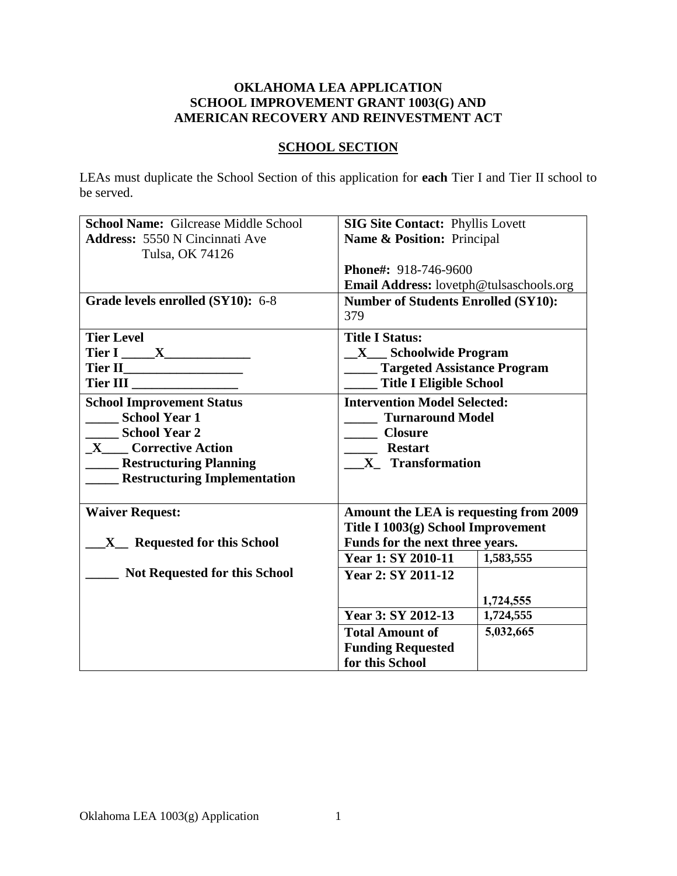### **OKLAHOMA LEA APPLICATION SCHOOL IMPROVEMENT GRANT 1003(G) AND AMERICAN RECOVERY AND REINVESTMENT ACT**

## **SCHOOL SECTION**

LEAs must duplicate the School Section of this application for **each** Tier I and Tier II school to be served.

| <b>School Name: Gilcrease Middle School</b> | <b>SIG Site Contact: Phyllis Lovett</b>        |  |  |
|---------------------------------------------|------------------------------------------------|--|--|
| <b>Address: 5550 N Cincinnati Ave</b>       | Name & Position: Principal                     |  |  |
| Tulsa, OK 74126                             |                                                |  |  |
|                                             | Phone#: 918-746-9600                           |  |  |
|                                             | <b>Email Address:</b> lovetph@tulsaschools.org |  |  |
| Grade levels enrolled (SY10): 6-8           | <b>Number of Students Enrolled (SY10):</b>     |  |  |
|                                             | 379                                            |  |  |
| <b>Tier Level</b>                           | <b>Title I Status:</b>                         |  |  |
|                                             |                                                |  |  |
| Tier I _____ X_______________               | $\mathbf{X}$ Schoolwide Program                |  |  |
|                                             | <b>Targeted Assistance Program</b>             |  |  |
| Tier III                                    | <b>Title I Eligible School</b>                 |  |  |
| <b>School Improvement Status</b>            | <b>Intervention Model Selected:</b>            |  |  |
| <b>School Year 1</b>                        | <b>Turnaround Model</b>                        |  |  |
| <b>School Year 2</b>                        | <b>Closure</b>                                 |  |  |
| <b>Corrective Action</b><br>$\mathbf{X}$    | <b>Restart</b>                                 |  |  |
| <b>Restructuring Planning</b>               | X Transformation                               |  |  |
| <b>Restructuring Implementation</b>         |                                                |  |  |
|                                             |                                                |  |  |
| <b>Waiver Request:</b>                      | Amount the LEA is requesting from 2009         |  |  |
|                                             | Title I 1003(g) School Improvement             |  |  |
| X_ Requested for this School                | Funds for the next three years.                |  |  |
|                                             | <b>Year 1: SY 2010-11</b><br>1,583,555         |  |  |
| <b>Not Requested for this School</b>        | Year 2: SY 2011-12                             |  |  |
|                                             |                                                |  |  |
|                                             | 1,724,555                                      |  |  |
|                                             | Year 3: SY 2012-13<br>1,724,555                |  |  |
|                                             | 5,032,665<br><b>Total Amount of</b>            |  |  |
|                                             | <b>Funding Requested</b>                       |  |  |
|                                             | for this School                                |  |  |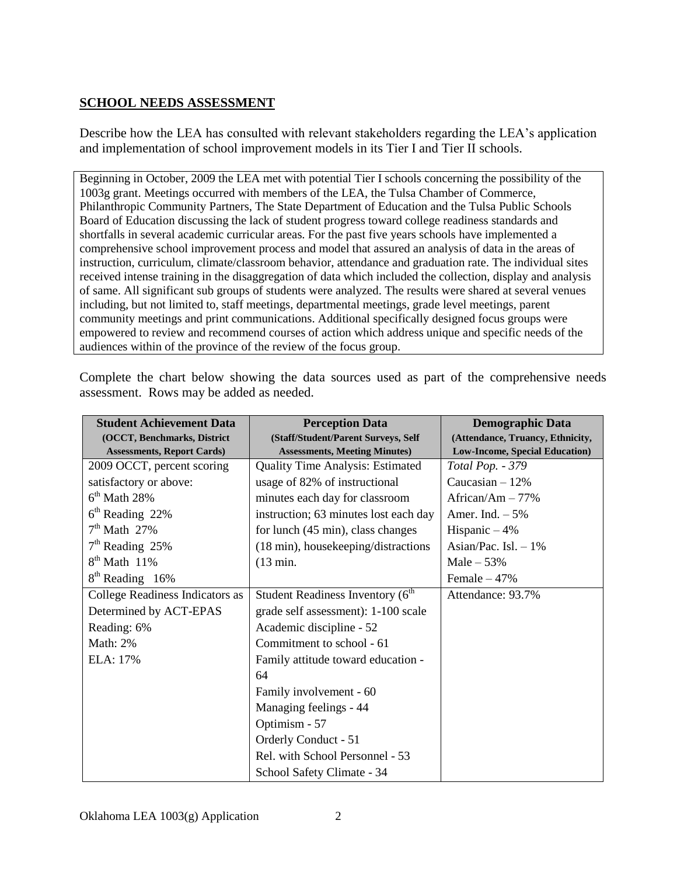## **SCHOOL NEEDS ASSESSMENT**

Describe how the LEA has consulted with relevant stakeholders regarding the LEA's application and implementation of school improvement models in its Tier I and Tier II schools.

Beginning in October, 2009 the LEA met with potential Tier I schools concerning the possibility of the 1003g grant. Meetings occurred with members of the LEA, the Tulsa Chamber of Commerce, Philanthropic Community Partners, The State Department of Education and the Tulsa Public Schools Board of Education discussing the lack of student progress toward college readiness standards and shortfalls in several academic curricular areas. For the past five years schools have implemented a comprehensive school improvement process and model that assured an analysis of data in the areas of instruction, curriculum, climate/classroom behavior, attendance and graduation rate. The individual sites received intense training in the disaggregation of data which included the collection, display and analysis of same. All significant sub groups of students were analyzed. The results were shared at several venues including, but not limited to, staff meetings, departmental meetings, grade level meetings, parent community meetings and print communications. Additional specifically designed focus groups were empowered to review and recommend courses of action which address unique and specific needs of the audiences within of the province of the review of the focus group.

| <b>Student Achievement Data</b>   | <b>Perception Data</b>                       | <b>Demographic Data</b>          |
|-----------------------------------|----------------------------------------------|----------------------------------|
| (OCCT, Benchmarks, District       | (Staff/Student/Parent Surveys, Self          | (Attendance, Truancy, Ethnicity, |
| <b>Assessments, Report Cards)</b> | <b>Assessments, Meeting Minutes)</b>         | Low-Income, Special Education)   |
| 2009 OCCT, percent scoring        | Quality Time Analysis: Estimated             | Total Pop. - 379                 |
| satisfactory or above:            | usage of 82% of instructional                | Caucasian $-12%$                 |
| $6th$ Math 28%                    | minutes each day for classroom               | African/Am $-77%$                |
| $6th$ Reading 22%                 | instruction; 63 minutes lost each day        | Amer. Ind. $-5\%$                |
| $7th$ Math 27%                    | for lunch (45 min), class changes            | Hispanic $-4%$                   |
| $7th$ Reading 25%                 | (18 min), housekeeping/distractions          | Asian/Pac. Isl. $-1\%$           |
| $8th$ Math 11%                    | $(13 \text{ min.})$                          | Male $-53%$                      |
| $8th$ Reading 16%                 |                                              | Female $-47%$                    |
| College Readiness Indicators as   | Student Readiness Inventory (6 <sup>th</sup> | Attendance: 93.7%                |
| Determined by ACT-EPAS            | grade self assessment): 1-100 scale          |                                  |
| Reading: 6%                       | Academic discipline - 52                     |                                  |
| Math: 2%                          | Commitment to school - 61                    |                                  |
| ELA: 17%                          | Family attitude toward education -           |                                  |
|                                   | 64                                           |                                  |
|                                   | Family involvement - 60                      |                                  |
|                                   | Managing feelings - 44                       |                                  |
|                                   | Optimism - 57                                |                                  |
|                                   | Orderly Conduct - 51                         |                                  |
|                                   | Rel. with School Personnel - 53              |                                  |
|                                   | School Safety Climate - 34                   |                                  |

Complete the chart below showing the data sources used as part of the comprehensive needs assessment. Rows may be added as needed.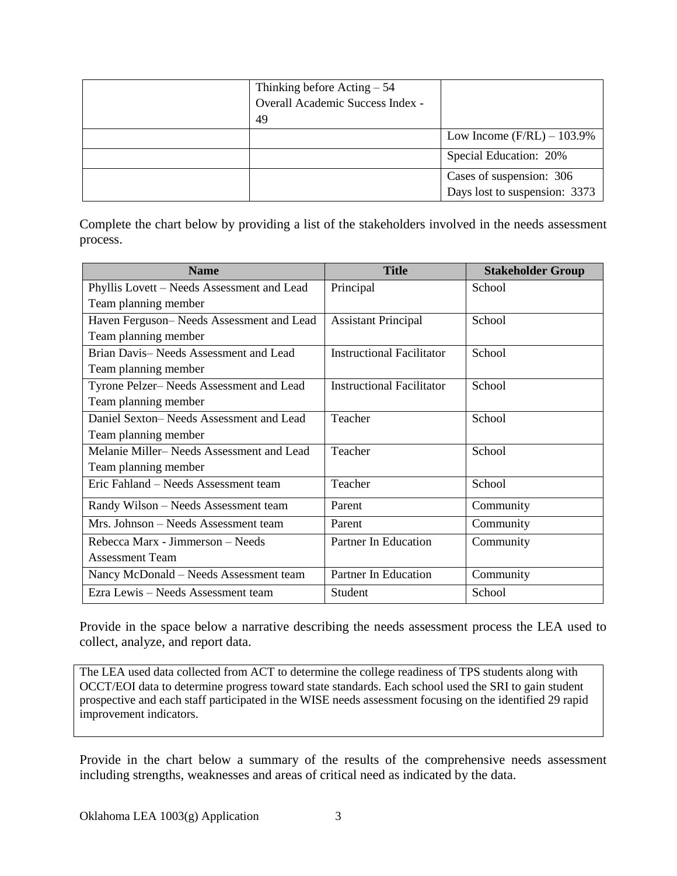| Thinking before $Acting - 54$    |                               |
|----------------------------------|-------------------------------|
| Overall Academic Success Index - |                               |
| 49                               |                               |
|                                  | Low Income $(F/RL) - 103.9\%$ |
|                                  | Special Education: 20%        |
|                                  | Cases of suspension: 306      |
|                                  | Days lost to suspension: 3373 |

Complete the chart below by providing a list of the stakeholders involved in the needs assessment process.

| <b>Name</b>                                | <b>Title</b>                     | <b>Stakeholder Group</b> |
|--------------------------------------------|----------------------------------|--------------------------|
| Phyllis Lovett - Needs Assessment and Lead | Principal                        | School                   |
| Team planning member                       |                                  |                          |
| Haven Ferguson-Needs Assessment and Lead   | <b>Assistant Principal</b>       | School                   |
| Team planning member                       |                                  |                          |
| Brian Davis-Needs Assessment and Lead      | <b>Instructional Facilitator</b> | School                   |
| Team planning member                       |                                  |                          |
| Tyrone Pelzer-Needs Assessment and Lead    | <b>Instructional Facilitator</b> | School                   |
| Team planning member                       |                                  |                          |
| Daniel Sexton-Needs Assessment and Lead    | Teacher                          | School                   |
| Team planning member                       |                                  |                          |
| Melanie Miller–Needs Assessment and Lead   | Teacher                          | School                   |
| Team planning member                       |                                  |                          |
| Eric Fahland – Needs Assessment team       | Teacher                          | School                   |
| Randy Wilson - Needs Assessment team       | Parent                           | Community                |
| Mrs. Johnson – Needs Assessment team       | Parent                           | Community                |
| Rebecca Marx - Jimmerson – Needs           | Partner In Education             | Community                |
| <b>Assessment Team</b>                     |                                  |                          |
| Nancy McDonald - Needs Assessment team     | Partner In Education             | Community                |
| Ezra Lewis - Needs Assessment team         | Student                          | School                   |

Provide in the space below a narrative describing the needs assessment process the LEA used to collect, analyze, and report data.

The LEA used data collected from ACT to determine the college readiness of TPS students along with OCCT/EOI data to determine progress toward state standards. Each school used the SRI to gain student prospective and each staff participated in the WISE needs assessment focusing on the identified 29 rapid improvement indicators.

Provide in the chart below a summary of the results of the comprehensive needs assessment including strengths, weaknesses and areas of critical need as indicated by the data.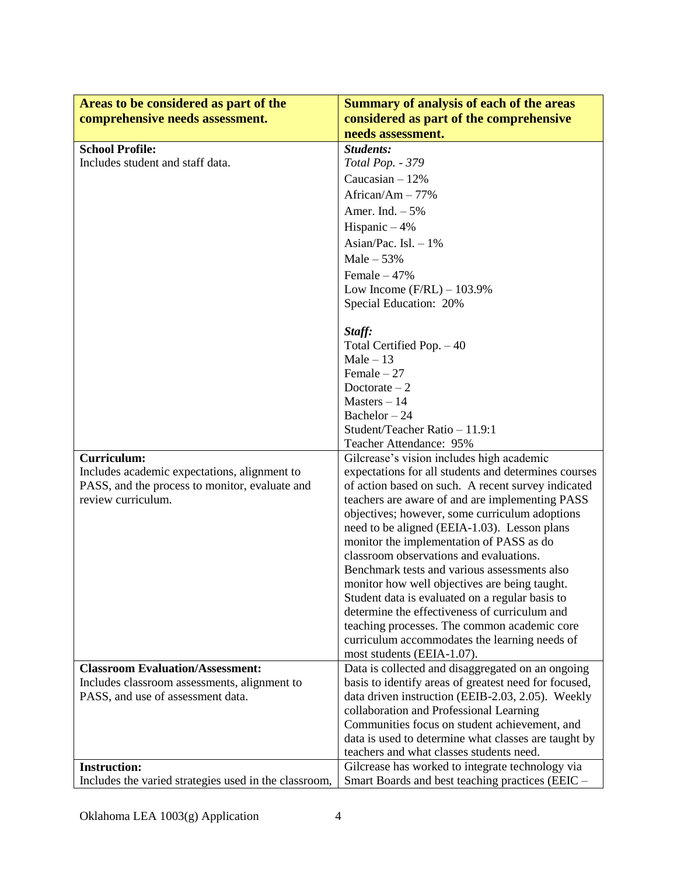| Areas to be considered as part of the                 | <b>Summary of analysis of each of the areas</b>                                                  |
|-------------------------------------------------------|--------------------------------------------------------------------------------------------------|
| comprehensive needs assessment.                       | considered as part of the comprehensive                                                          |
|                                                       | needs assessment.                                                                                |
| <b>School Profile:</b>                                | Students:                                                                                        |
| Includes student and staff data.                      | Total Pop. - 379                                                                                 |
|                                                       | Caucasian $-12%$                                                                                 |
|                                                       | African/Am - 77%                                                                                 |
|                                                       | Amer. Ind. $-5%$                                                                                 |
|                                                       | Hispanic $-4%$                                                                                   |
|                                                       | Asian/Pac. Isl. $-1\%$                                                                           |
|                                                       | Male $-53%$                                                                                      |
|                                                       |                                                                                                  |
|                                                       | Female $-47%$                                                                                    |
|                                                       | Low Income $(F/RL) - 103.9\%$                                                                    |
|                                                       | Special Education: 20%                                                                           |
|                                                       | Staff:                                                                                           |
|                                                       | Total Certified Pop. - 40                                                                        |
|                                                       | $Male - 13$                                                                                      |
|                                                       | Female $-27$                                                                                     |
|                                                       | Doctorate $-2$                                                                                   |
|                                                       | $Masters - 14$                                                                                   |
|                                                       | Bachelor $-24$                                                                                   |
|                                                       | Student/Teacher Ratio - 11.9:1                                                                   |
|                                                       | Teacher Attendance: 95%                                                                          |
| <b>Curriculum:</b>                                    | Gilcrease's vision includes high academic                                                        |
| Includes academic expectations, alignment to          | expectations for all students and determines courses                                             |
| PASS, and the process to monitor, evaluate and        | of action based on such. A recent survey indicated                                               |
| review curriculum.                                    | teachers are aware of and are implementing PASS                                                  |
|                                                       | objectives; however, some curriculum adoptions                                                   |
|                                                       | need to be aligned (EEIA-1.03). Lesson plans                                                     |
|                                                       | monitor the implementation of PASS as do                                                         |
|                                                       | classroom observations and evaluations.                                                          |
|                                                       | Benchmark tests and various assessments also                                                     |
|                                                       | monitor how well objectives are being taught.                                                    |
|                                                       | Student data is evaluated on a regular basis to<br>determine the effectiveness of curriculum and |
|                                                       | teaching processes. The common academic core                                                     |
|                                                       | curriculum accommodates the learning needs of                                                    |
|                                                       | most students (EEIA-1.07).                                                                       |
| <b>Classroom Evaluation/Assessment:</b>               | Data is collected and disaggregated on an ongoing                                                |
| Includes classroom assessments, alignment to          | basis to identify areas of greatest need for focused,                                            |
| PASS, and use of assessment data.                     | data driven instruction (EEIB-2.03, 2.05). Weekly                                                |
|                                                       | collaboration and Professional Learning                                                          |
|                                                       | Communities focus on student achievement, and                                                    |
|                                                       | data is used to determine what classes are taught by                                             |
|                                                       | teachers and what classes students need.                                                         |
| <b>Instruction:</b>                                   | Gilcrease has worked to integrate technology via                                                 |
| Includes the varied strategies used in the classroom, | Smart Boards and best teaching practices (EEIC -                                                 |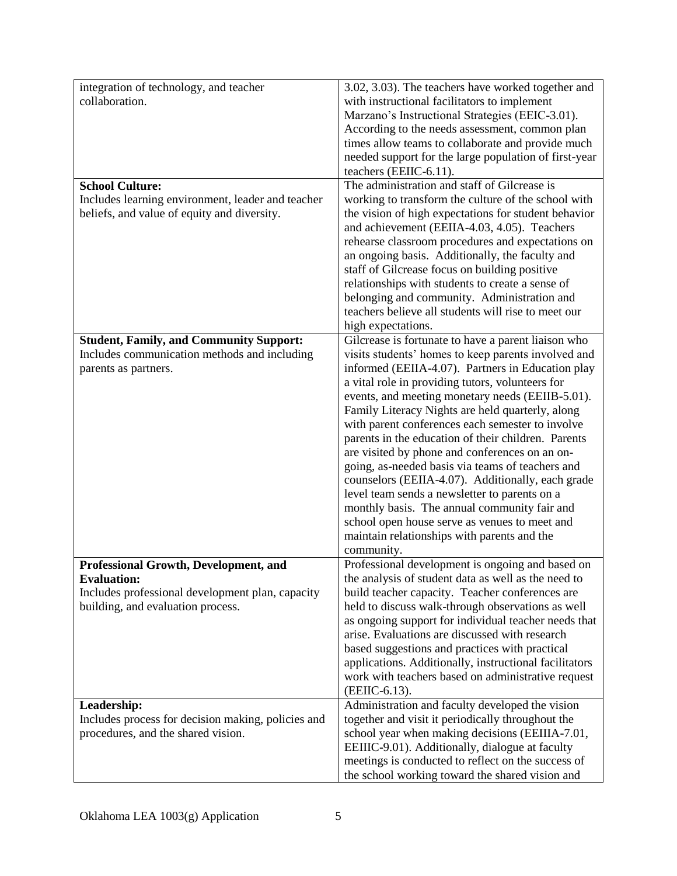| integration of technology, and teacher             | 3.02, 3.03). The teachers have worked together and                                                       |
|----------------------------------------------------|----------------------------------------------------------------------------------------------------------|
| collaboration.                                     | with instructional facilitators to implement                                                             |
|                                                    | Marzano's Instructional Strategies (EEIC-3.01).                                                          |
|                                                    | According to the needs assessment, common plan                                                           |
|                                                    | times allow teams to collaborate and provide much                                                        |
|                                                    | needed support for the large population of first-year                                                    |
|                                                    | teachers (EEIIC-6.11).                                                                                   |
| <b>School Culture:</b>                             | The administration and staff of Gilcrease is                                                             |
| Includes learning environment, leader and teacher  | working to transform the culture of the school with                                                      |
| beliefs, and value of equity and diversity.        | the vision of high expectations for student behavior                                                     |
|                                                    | and achievement (EEIIA-4.03, 4.05). Teachers                                                             |
|                                                    | rehearse classroom procedures and expectations on                                                        |
|                                                    | an ongoing basis. Additionally, the faculty and                                                          |
|                                                    | staff of Gilcrease focus on building positive                                                            |
|                                                    | relationships with students to create a sense of                                                         |
|                                                    | belonging and community. Administration and                                                              |
|                                                    | teachers believe all students will rise to meet our                                                      |
|                                                    | high expectations.                                                                                       |
| <b>Student, Family, and Community Support:</b>     | Gilcrease is fortunate to have a parent liaison who                                                      |
| Includes communication methods and including       | visits students' homes to keep parents involved and<br>informed (EEIIA-4.07). Partners in Education play |
| parents as partners.                               | a vital role in providing tutors, volunteers for                                                         |
|                                                    | events, and meeting monetary needs (EEIIB-5.01).                                                         |
|                                                    | Family Literacy Nights are held quarterly, along                                                         |
|                                                    | with parent conferences each semester to involve                                                         |
|                                                    | parents in the education of their children. Parents                                                      |
|                                                    | are visited by phone and conferences on an on-                                                           |
|                                                    | going, as-needed basis via teams of teachers and                                                         |
|                                                    | counselors (EEIIA-4.07). Additionally, each grade                                                        |
|                                                    | level team sends a newsletter to parents on a                                                            |
|                                                    | monthly basis. The annual community fair and                                                             |
|                                                    | school open house serve as venues to meet and                                                            |
|                                                    | maintain relationships with parents and the                                                              |
|                                                    | community.                                                                                               |
| Professional Growth, Development, and              | Professional development is ongoing and based on                                                         |
| <b>Evaluation:</b>                                 | the analysis of student data as well as the need to                                                      |
| Includes professional development plan, capacity   | build teacher capacity. Teacher conferences are                                                          |
| building, and evaluation process.                  | held to discuss walk-through observations as well                                                        |
|                                                    | as ongoing support for individual teacher needs that                                                     |
|                                                    | arise. Evaluations are discussed with research                                                           |
|                                                    | based suggestions and practices with practical<br>applications. Additionally, instructional facilitators |
|                                                    | work with teachers based on administrative request                                                       |
|                                                    | (EEIIC-6.13).                                                                                            |
| Leadership:                                        | Administration and faculty developed the vision                                                          |
| Includes process for decision making, policies and | together and visit it periodically throughout the                                                        |
| procedures, and the shared vision.                 | school year when making decisions (EEIIIA-7.01,                                                          |
|                                                    | EEIIIC-9.01). Additionally, dialogue at faculty                                                          |
|                                                    | meetings is conducted to reflect on the success of                                                       |
|                                                    | the school working toward the shared vision and                                                          |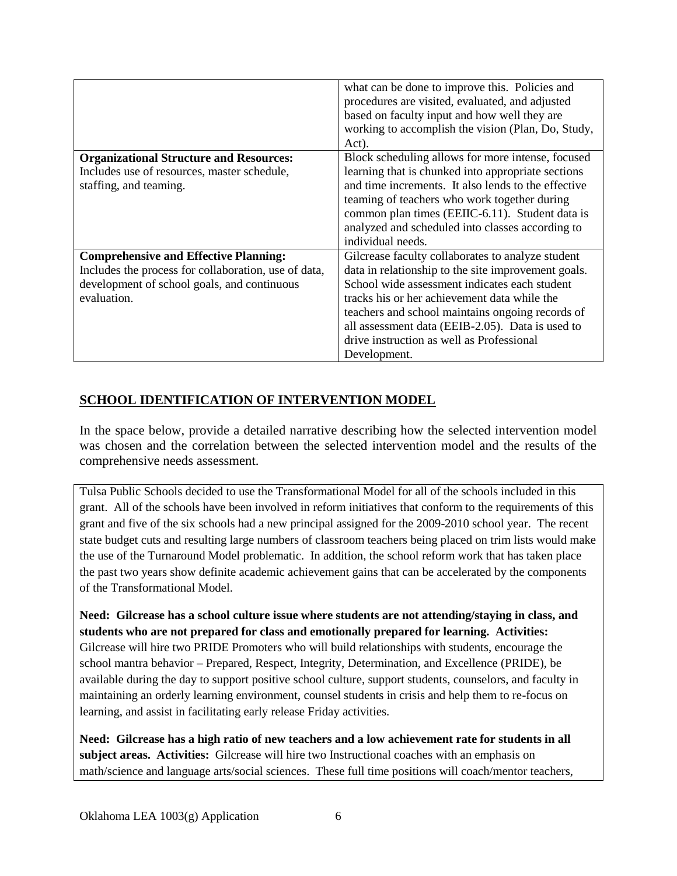|                                                      | what can be done to improve this. Policies and<br>procedures are visited, evaluated, and adjusted<br>based on faculty input and how well they are<br>working to accomplish the vision (Plan, Do, Study,<br>Act). |
|------------------------------------------------------|------------------------------------------------------------------------------------------------------------------------------------------------------------------------------------------------------------------|
| <b>Organizational Structure and Resources:</b>       | Block scheduling allows for more intense, focused                                                                                                                                                                |
| Includes use of resources, master schedule,          | learning that is chunked into appropriate sections                                                                                                                                                               |
| staffing, and teaming.                               | and time increments. It also lends to the effective                                                                                                                                                              |
|                                                      | teaming of teachers who work together during                                                                                                                                                                     |
|                                                      | common plan times (EEIIC-6.11). Student data is                                                                                                                                                                  |
|                                                      | analyzed and scheduled into classes according to                                                                                                                                                                 |
|                                                      | individual needs.                                                                                                                                                                                                |
| <b>Comprehensive and Effective Planning:</b>         | Gilcrease faculty collaborates to analyze student                                                                                                                                                                |
| Includes the process for collaboration, use of data, | data in relationship to the site improvement goals.                                                                                                                                                              |
| development of school goals, and continuous          | School wide assessment indicates each student                                                                                                                                                                    |
| evaluation.                                          | tracks his or her achievement data while the                                                                                                                                                                     |
|                                                      | teachers and school maintains ongoing records of                                                                                                                                                                 |
|                                                      | all assessment data (EEIB-2.05). Data is used to                                                                                                                                                                 |
|                                                      | drive instruction as well as Professional                                                                                                                                                                        |
|                                                      | Development.                                                                                                                                                                                                     |

## **SCHOOL IDENTIFICATION OF INTERVENTION MODEL**

In the space below, provide a detailed narrative describing how the selected intervention model was chosen and the correlation between the selected intervention model and the results of the comprehensive needs assessment.

Tulsa Public Schools decided to use the Transformational Model for all of the schools included in this grant. All of the schools have been involved in reform initiatives that conform to the requirements of this grant and five of the six schools had a new principal assigned for the 2009-2010 school year. The recent state budget cuts and resulting large numbers of classroom teachers being placed on trim lists would make the use of the Turnaround Model problematic. In addition, the school reform work that has taken place the past two years show definite academic achievement gains that can be accelerated by the components of the Transformational Model.

**Need: Gilcrease has a school culture issue where students are not attending/staying in class, and students who are not prepared for class and emotionally prepared for learning. Activities:** Gilcrease will hire two PRIDE Promoters who will build relationships with students, encourage the school mantra behavior – Prepared, Respect, Integrity, Determination, and Excellence (PRIDE), be available during the day to support positive school culture, support students, counselors, and faculty in maintaining an orderly learning environment, counsel students in crisis and help them to re-focus on learning, and assist in facilitating early release Friday activities.

**Need: Gilcrease has a high ratio of new teachers and a low achievement rate for students in all subject areas. Activities:** Gilcrease will hire two Instructional coaches with an emphasis on math/science and language arts/social sciences. These full time positions will coach/mentor teachers,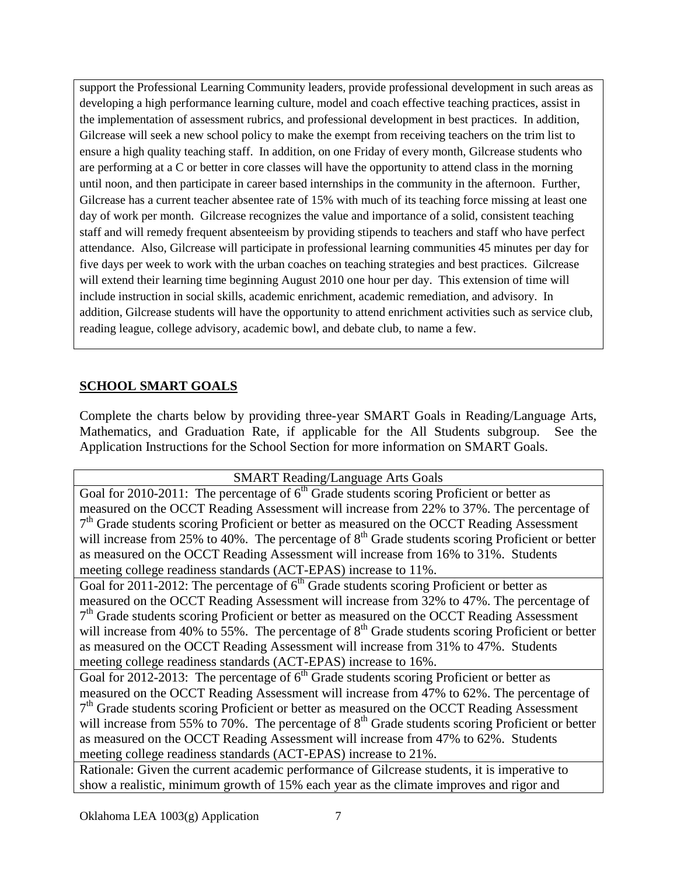support the Professional Learning Community leaders, provide professional development in such areas as developing a high performance learning culture, model and coach effective teaching practices, assist in the implementation of assessment rubrics, and professional development in best practices. In addition, Gilcrease will seek a new school policy to make the exempt from receiving teachers on the trim list to ensure a high quality teaching staff. In addition, on one Friday of every month, Gilcrease students who are performing at a C or better in core classes will have the opportunity to attend class in the morning until noon, and then participate in career based internships in the community in the afternoon. Further, Gilcrease has a current teacher absentee rate of 15% with much of its teaching force missing at least one day of work per month. Gilcrease recognizes the value and importance of a solid, consistent teaching staff and will remedy frequent absenteeism by providing stipends to teachers and staff who have perfect attendance. Also, Gilcrease will participate in professional learning communities 45 minutes per day for five days per week to work with the urban coaches on teaching strategies and best practices. Gilcrease will extend their learning time beginning August 2010 one hour per day. This extension of time will include instruction in social skills, academic enrichment, academic remediation, and advisory. In addition, Gilcrease students will have the opportunity to attend enrichment activities such as service club, reading league, college advisory, academic bowl, and debate club, to name a few.

# **SCHOOL SMART GOALS**

Complete the charts below by providing three-year SMART Goals in Reading/Language Arts, Mathematics, and Graduation Rate, if applicable for the All Students subgroup. See the Application Instructions for the School Section for more information on SMART Goals.

| <b>SMART Reading/Language Arts Goals</b>                                                             |
|------------------------------------------------------------------------------------------------------|
| Goal for 2010-2011: The percentage of 6 <sup>th</sup> Grade students scoring Proficient or better as |
| measured on the OCCT Reading Assessment will increase from 22% to 37%. The percentage of             |
| $7th$ Grade students scoring Proficient or better as measured on the OCCT Reading Assessment         |
| will increase from 25% to 40%. The percentage of $8th$ Grade students scoring Proficient or better   |
| as measured on the OCCT Reading Assessment will increase from 16% to 31%. Students                   |
| meeting college readiness standards (ACT-EPAS) increase to 11%.                                      |
| Goal for 2011-2012: The percentage of $6th$ Grade students scoring Proficient or better as           |
| measured on the OCCT Reading Assessment will increase from 32% to 47%. The percentage of             |
| $7th$ Grade students scoring Proficient or better as measured on the OCCT Reading Assessment         |
| will increase from 40% to 55%. The percentage of $8th$ Grade students scoring Proficient or better   |
| as measured on the OCCT Reading Assessment will increase from 31% to 47%. Students                   |
| meeting college readiness standards (ACT-EPAS) increase to 16%.                                      |
| Goal for 2012-2013: The percentage of $6th$ Grade students scoring Proficient or better as           |
| measured on the OCCT Reading Assessment will increase from 47% to 62%. The percentage of             |
| $7th$ Grade students scoring Proficient or better as measured on the OCCT Reading Assessment         |
| will increase from 55% to 70%. The percentage of $8th$ Grade students scoring Proficient or better   |
| as measured on the OCCT Reading Assessment will increase from 47% to 62%. Students                   |
| meeting college readiness standards (ACT-EPAS) increase to 21%.                                      |

Rationale: Given the current academic performance of Gilcrease students, it is imperative to show a realistic, minimum growth of 15% each year as the climate improves and rigor and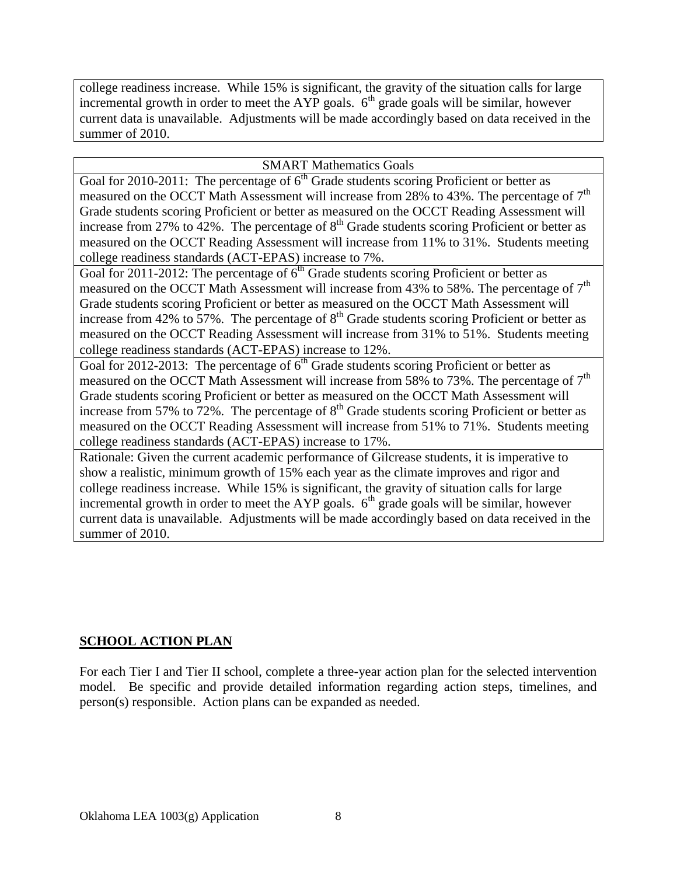college readiness increase. While 15% is significant, the gravity of the situation calls for large incremental growth in order to meet the AYP goals.  $6<sup>th</sup>$  grade goals will be similar, however current data is unavailable. Adjustments will be made accordingly based on data received in the summer of 2010.

### SMART Mathematics Goals

Goal for 2010-2011: The percentage of  $6<sup>th</sup>$  Grade students scoring Proficient or better as measured on the OCCT Math Assessment will increase from 28% to 43%. The percentage of  $7<sup>th</sup>$ Grade students scoring Proficient or better as measured on the OCCT Reading Assessment will increase from 27% to  $42\%$ . The percentage of  $8<sup>th</sup>$  Grade students scoring Proficient or better as measured on the OCCT Reading Assessment will increase from 11% to 31%. Students meeting college readiness standards (ACT-EPAS) increase to 7%.

Goal for 2011-2012: The percentage of  $6<sup>th</sup>$  Grade students scoring Proficient or better as measured on the OCCT Math Assessment will increase from 43% to 58%. The percentage of  $7<sup>th</sup>$ Grade students scoring Proficient or better as measured on the OCCT Math Assessment will increase from  $42\%$  to  $57\%$ . The percentage of  $8<sup>th</sup>$  Grade students scoring Proficient or better as measured on the OCCT Reading Assessment will increase from 31% to 51%. Students meeting college readiness standards (ACT-EPAS) increase to 12%.

Goal for 2012-2013: The percentage of  $6<sup>th</sup>$  Grade students scoring Proficient or better as measured on the OCCT Math Assessment will increase from 58% to 73%. The percentage of 7<sup>th</sup> Grade students scoring Proficient or better as measured on the OCCT Math Assessment will increase from 57% to  $72\%$ . The percentage of  $8<sup>th</sup>$  Grade students scoring Proficient or better as measured on the OCCT Reading Assessment will increase from 51% to 71%. Students meeting college readiness standards (ACT-EPAS) increase to 17%.

Rationale: Given the current academic performance of Gilcrease students, it is imperative to show a realistic, minimum growth of 15% each year as the climate improves and rigor and college readiness increase. While 15% is significant, the gravity of situation calls for large incremental growth in order to meet the AYP goals.  $6<sup>th</sup>$  grade goals will be similar, however current data is unavailable. Adjustments will be made accordingly based on data received in the summer of 2010.

# **SCHOOL ACTION PLAN**

For each Tier I and Tier II school, complete a three-year action plan for the selected intervention model. Be specific and provide detailed information regarding action steps, timelines, and person(s) responsible. Action plans can be expanded as needed.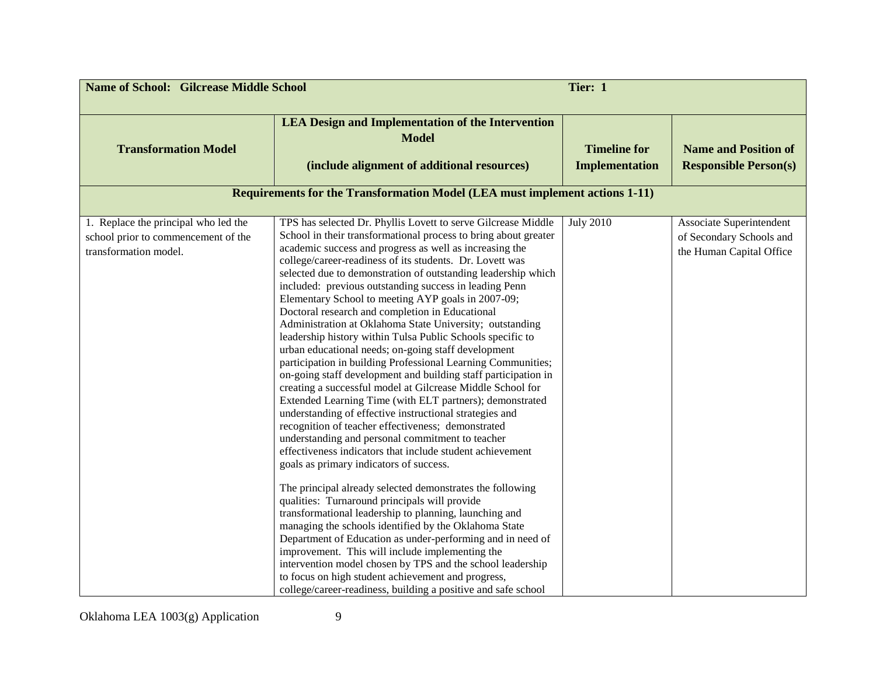| <b>Name of School: Gilcrease Middle School</b>                                                       |                                                                                                                                                                                                                                                                                                                                                                                                                                                                                                                                                                                                                                                                                                                                                                                                                                                                                                                                                                                                                                                                                                                                                                                                                                                                                                                                                                                                                                                                                                                                                                                                                                                                                                                                                              | Tier: 1                                      |                                                                                  |
|------------------------------------------------------------------------------------------------------|--------------------------------------------------------------------------------------------------------------------------------------------------------------------------------------------------------------------------------------------------------------------------------------------------------------------------------------------------------------------------------------------------------------------------------------------------------------------------------------------------------------------------------------------------------------------------------------------------------------------------------------------------------------------------------------------------------------------------------------------------------------------------------------------------------------------------------------------------------------------------------------------------------------------------------------------------------------------------------------------------------------------------------------------------------------------------------------------------------------------------------------------------------------------------------------------------------------------------------------------------------------------------------------------------------------------------------------------------------------------------------------------------------------------------------------------------------------------------------------------------------------------------------------------------------------------------------------------------------------------------------------------------------------------------------------------------------------------------------------------------------------|----------------------------------------------|----------------------------------------------------------------------------------|
| <b>Transformation Model</b>                                                                          | <b>LEA Design and Implementation of the Intervention</b><br><b>Model</b><br>(include alignment of additional resources)                                                                                                                                                                                                                                                                                                                                                                                                                                                                                                                                                                                                                                                                                                                                                                                                                                                                                                                                                                                                                                                                                                                                                                                                                                                                                                                                                                                                                                                                                                                                                                                                                                      | <b>Timeline for</b><br><b>Implementation</b> | <b>Name and Position of</b><br><b>Responsible Person(s)</b>                      |
|                                                                                                      | <b>Requirements for the Transformation Model (LEA must implement actions 1-11)</b>                                                                                                                                                                                                                                                                                                                                                                                                                                                                                                                                                                                                                                                                                                                                                                                                                                                                                                                                                                                                                                                                                                                                                                                                                                                                                                                                                                                                                                                                                                                                                                                                                                                                           |                                              |                                                                                  |
| 1. Replace the principal who led the<br>school prior to commencement of the<br>transformation model. | TPS has selected Dr. Phyllis Lovett to serve Gilcrease Middle<br>School in their transformational process to bring about greater<br>academic success and progress as well as increasing the<br>college/career-readiness of its students. Dr. Lovett was<br>selected due to demonstration of outstanding leadership which<br>included: previous outstanding success in leading Penn<br>Elementary School to meeting AYP goals in 2007-09;<br>Doctoral research and completion in Educational<br>Administration at Oklahoma State University; outstanding<br>leadership history within Tulsa Public Schools specific to<br>urban educational needs; on-going staff development<br>participation in building Professional Learning Communities;<br>on-going staff development and building staff participation in<br>creating a successful model at Gilcrease Middle School for<br>Extended Learning Time (with ELT partners); demonstrated<br>understanding of effective instructional strategies and<br>recognition of teacher effectiveness; demonstrated<br>understanding and personal commitment to teacher<br>effectiveness indicators that include student achievement<br>goals as primary indicators of success.<br>The principal already selected demonstrates the following<br>qualities: Turnaround principals will provide<br>transformational leadership to planning, launching and<br>managing the schools identified by the Oklahoma State<br>Department of Education as under-performing and in need of<br>improvement. This will include implementing the<br>intervention model chosen by TPS and the school leadership<br>to focus on high student achievement and progress,<br>college/career-readiness, building a positive and safe school | <b>July 2010</b>                             | Associate Superintendent<br>of Secondary Schools and<br>the Human Capital Office |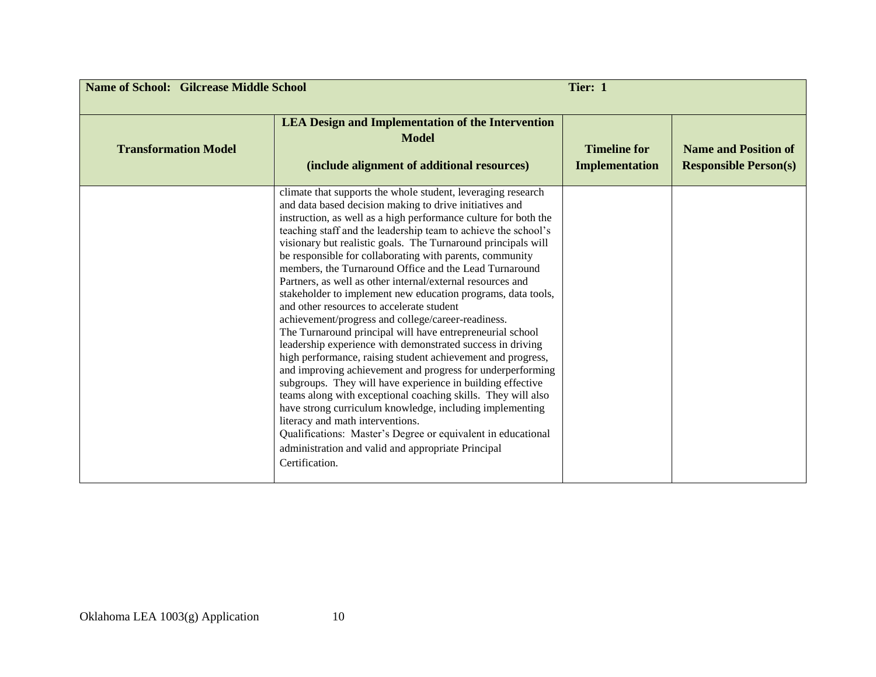| <b>Name of School: Gilcrease Middle School</b> |                                                                                                                                                                                                                                                                                                                                                                                                                                                                                                                                                                                                                                                                                                                                                                                                                                                                                                                                                                                                                                                                                                                                                                                                                                                                                                                    | Tier: 1                                      |                                                             |
|------------------------------------------------|--------------------------------------------------------------------------------------------------------------------------------------------------------------------------------------------------------------------------------------------------------------------------------------------------------------------------------------------------------------------------------------------------------------------------------------------------------------------------------------------------------------------------------------------------------------------------------------------------------------------------------------------------------------------------------------------------------------------------------------------------------------------------------------------------------------------------------------------------------------------------------------------------------------------------------------------------------------------------------------------------------------------------------------------------------------------------------------------------------------------------------------------------------------------------------------------------------------------------------------------------------------------------------------------------------------------|----------------------------------------------|-------------------------------------------------------------|
| <b>Transformation Model</b>                    | <b>LEA Design and Implementation of the Intervention</b><br><b>Model</b><br>(include alignment of additional resources)                                                                                                                                                                                                                                                                                                                                                                                                                                                                                                                                                                                                                                                                                                                                                                                                                                                                                                                                                                                                                                                                                                                                                                                            | <b>Timeline for</b><br><b>Implementation</b> | <b>Name and Position of</b><br><b>Responsible Person(s)</b> |
|                                                | climate that supports the whole student, leveraging research<br>and data based decision making to drive initiatives and<br>instruction, as well as a high performance culture for both the<br>teaching staff and the leadership team to achieve the school's<br>visionary but realistic goals. The Turnaround principals will<br>be responsible for collaborating with parents, community<br>members, the Turnaround Office and the Lead Turnaround<br>Partners, as well as other internal/external resources and<br>stakeholder to implement new education programs, data tools,<br>and other resources to accelerate student<br>achievement/progress and college/career-readiness.<br>The Turnaround principal will have entrepreneurial school<br>leadership experience with demonstrated success in driving<br>high performance, raising student achievement and progress,<br>and improving achievement and progress for underperforming<br>subgroups. They will have experience in building effective<br>teams along with exceptional coaching skills. They will also<br>have strong curriculum knowledge, including implementing<br>literacy and math interventions.<br>Qualifications: Master's Degree or equivalent in educational<br>administration and valid and appropriate Principal<br>Certification. |                                              |                                                             |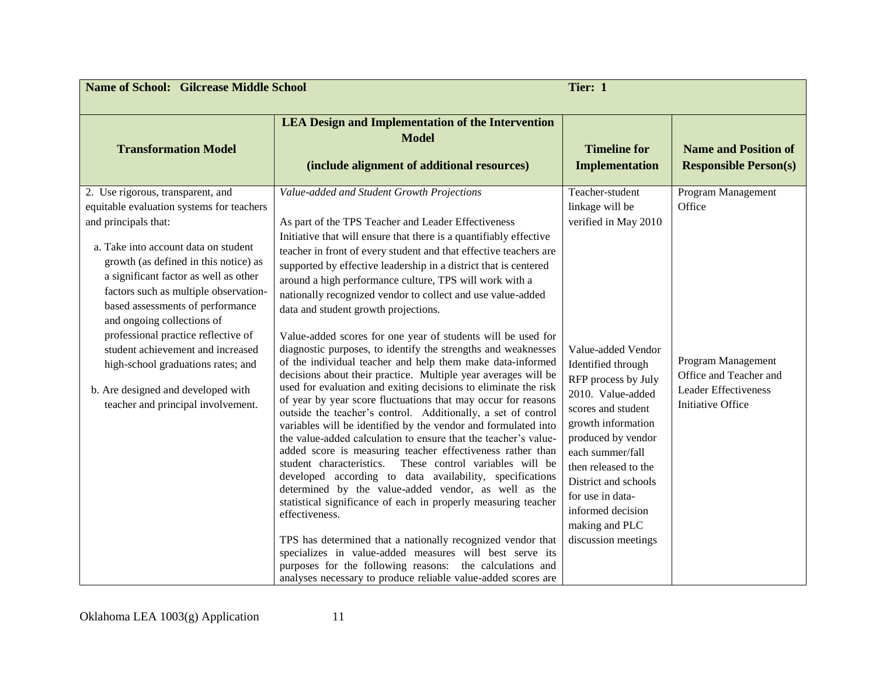| <b>Name of School: Gilcrease Middle School</b>                                                                                                                                                                                                                                                                                                                                     |                                                                                                                                                                                                                                                                                                                                                                                                                                                                                                                                                                                                                                                                                                                                                                                                                                                                                                                                                                                                                                                                                                                                  | Tier: 1                                                                                                                                                                                                                                                                                                      |                                                                                                  |
|------------------------------------------------------------------------------------------------------------------------------------------------------------------------------------------------------------------------------------------------------------------------------------------------------------------------------------------------------------------------------------|----------------------------------------------------------------------------------------------------------------------------------------------------------------------------------------------------------------------------------------------------------------------------------------------------------------------------------------------------------------------------------------------------------------------------------------------------------------------------------------------------------------------------------------------------------------------------------------------------------------------------------------------------------------------------------------------------------------------------------------------------------------------------------------------------------------------------------------------------------------------------------------------------------------------------------------------------------------------------------------------------------------------------------------------------------------------------------------------------------------------------------|--------------------------------------------------------------------------------------------------------------------------------------------------------------------------------------------------------------------------------------------------------------------------------------------------------------|--------------------------------------------------------------------------------------------------|
| <b>Transformation Model</b>                                                                                                                                                                                                                                                                                                                                                        | <b>LEA Design and Implementation of the Intervention</b><br><b>Model</b><br>(include alignment of additional resources)                                                                                                                                                                                                                                                                                                                                                                                                                                                                                                                                                                                                                                                                                                                                                                                                                                                                                                                                                                                                          | <b>Timeline for</b><br><b>Implementation</b>                                                                                                                                                                                                                                                                 | <b>Name and Position of</b><br><b>Responsible Person(s)</b>                                      |
| 2. Use rigorous, transparent, and<br>equitable evaluation systems for teachers<br>and principals that:<br>a. Take into account data on student<br>growth (as defined in this notice) as<br>a significant factor as well as other<br>factors such as multiple observation-<br>based assessments of performance<br>and ongoing collections of<br>professional practice reflective of | Value-added and Student Growth Projections<br>As part of the TPS Teacher and Leader Effectiveness<br>Initiative that will ensure that there is a quantifiably effective<br>teacher in front of every student and that effective teachers are<br>supported by effective leadership in a district that is centered<br>around a high performance culture, TPS will work with a<br>nationally recognized vendor to collect and use value-added<br>data and student growth projections.<br>Value-added scores for one year of students will be used for                                                                                                                                                                                                                                                                                                                                                                                                                                                                                                                                                                               | Teacher-student<br>linkage will be<br>verified in May 2010                                                                                                                                                                                                                                                   | Program Management<br>Office                                                                     |
| student achievement and increased<br>high-school graduations rates; and<br>b. Are designed and developed with<br>teacher and principal involvement.                                                                                                                                                                                                                                | diagnostic purposes, to identify the strengths and weaknesses<br>of the individual teacher and help them make data-informed<br>decisions about their practice. Multiple year averages will be<br>used for evaluation and exiting decisions to eliminate the risk<br>of year by year score fluctuations that may occur for reasons<br>outside the teacher's control. Additionally, a set of control<br>variables will be identified by the vendor and formulated into<br>the value-added calculation to ensure that the teacher's value-<br>added score is measuring teacher effectiveness rather than<br>student characteristics. These control variables will be<br>developed according to data availability, specifications<br>determined by the value-added vendor, as well as the<br>statistical significance of each in properly measuring teacher<br>effectiveness.<br>TPS has determined that a nationally recognized vendor that<br>specializes in value-added measures will best serve its<br>purposes for the following reasons: the calculations and<br>analyses necessary to produce reliable value-added scores are | Value-added Vendor<br>Identified through<br>RFP process by July<br>2010. Value-added<br>scores and student<br>growth information<br>produced by vendor<br>each summer/fall<br>then released to the<br>District and schools<br>for use in data-<br>informed decision<br>making and PLC<br>discussion meetings | Program Management<br>Office and Teacher and<br><b>Leader Effectiveness</b><br>Initiative Office |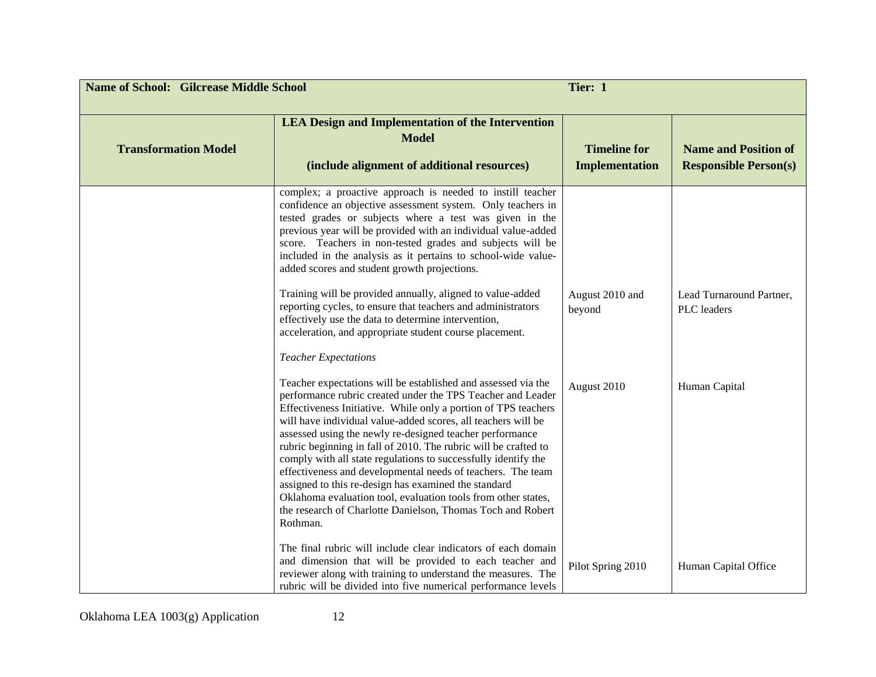| <b>Name of School: Gilcrease Middle School</b> |                                                                                                                                                                                                                                                                                                                                                                                                                                                                                                                                                                                                                                                                                                                                     | Tier: 1                                      |                                                             |
|------------------------------------------------|-------------------------------------------------------------------------------------------------------------------------------------------------------------------------------------------------------------------------------------------------------------------------------------------------------------------------------------------------------------------------------------------------------------------------------------------------------------------------------------------------------------------------------------------------------------------------------------------------------------------------------------------------------------------------------------------------------------------------------------|----------------------------------------------|-------------------------------------------------------------|
| <b>Transformation Model</b>                    | <b>LEA Design and Implementation of the Intervention</b><br><b>Model</b><br>(include alignment of additional resources)                                                                                                                                                                                                                                                                                                                                                                                                                                                                                                                                                                                                             | <b>Timeline for</b><br><b>Implementation</b> | <b>Name and Position of</b><br><b>Responsible Person(s)</b> |
|                                                | complex; a proactive approach is needed to instill teacher<br>confidence an objective assessment system. Only teachers in<br>tested grades or subjects where a test was given in the<br>previous year will be provided with an individual value-added<br>score. Teachers in non-tested grades and subjects will be<br>included in the analysis as it pertains to school-wide value-<br>added scores and student growth projections.                                                                                                                                                                                                                                                                                                 |                                              |                                                             |
|                                                | Training will be provided annually, aligned to value-added<br>reporting cycles, to ensure that teachers and administrators<br>effectively use the data to determine intervention,<br>acceleration, and appropriate student course placement.                                                                                                                                                                                                                                                                                                                                                                                                                                                                                        | August 2010 and<br>beyond                    | Lead Turnaround Partner.<br>PLC leaders                     |
|                                                | <b>Teacher Expectations</b>                                                                                                                                                                                                                                                                                                                                                                                                                                                                                                                                                                                                                                                                                                         |                                              |                                                             |
|                                                | Teacher expectations will be established and assessed via the<br>performance rubric created under the TPS Teacher and Leader<br>Effectiveness Initiative. While only a portion of TPS teachers<br>will have individual value-added scores, all teachers will be<br>assessed using the newly re-designed teacher performance<br>rubric beginning in fall of 2010. The rubric will be crafted to<br>comply with all state regulations to successfully identify the<br>effectiveness and developmental needs of teachers. The team<br>assigned to this re-design has examined the standard<br>Oklahoma evaluation tool, evaluation tools from other states,<br>the research of Charlotte Danielson, Thomas Toch and Robert<br>Rothman. | August 2010                                  | Human Capital                                               |
|                                                | The final rubric will include clear indicators of each domain<br>and dimension that will be provided to each teacher and<br>reviewer along with training to understand the measures. The<br>rubric will be divided into five numerical performance levels                                                                                                                                                                                                                                                                                                                                                                                                                                                                           | Pilot Spring 2010                            | Human Capital Office                                        |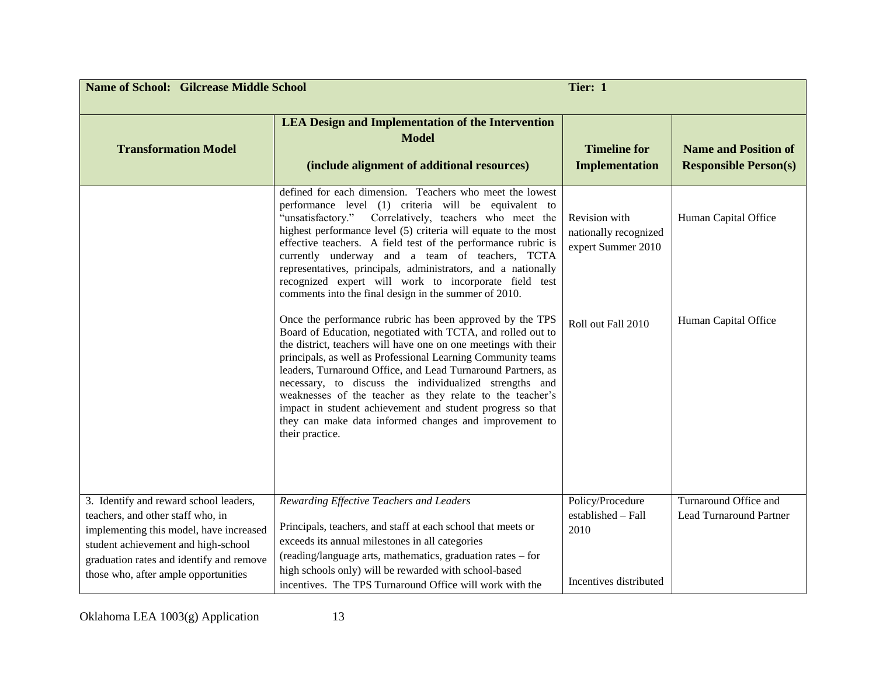| <b>Name of School: Gilcrease Middle School</b><br>Tier: 1                                                                                                                                                                                         |                                                                                                                                                                                                                                                                                                                                                                                                                                                                                                                                                                                              |                                                                          |                                                             |
|---------------------------------------------------------------------------------------------------------------------------------------------------------------------------------------------------------------------------------------------------|----------------------------------------------------------------------------------------------------------------------------------------------------------------------------------------------------------------------------------------------------------------------------------------------------------------------------------------------------------------------------------------------------------------------------------------------------------------------------------------------------------------------------------------------------------------------------------------------|--------------------------------------------------------------------------|-------------------------------------------------------------|
| <b>Transformation Model</b>                                                                                                                                                                                                                       | <b>LEA Design and Implementation of the Intervention</b><br><b>Model</b><br>(include alignment of additional resources)                                                                                                                                                                                                                                                                                                                                                                                                                                                                      | <b>Timeline for</b><br><b>Implementation</b>                             | <b>Name and Position of</b><br><b>Responsible Person(s)</b> |
|                                                                                                                                                                                                                                                   | defined for each dimension. Teachers who meet the lowest<br>performance level (1) criteria will be equivalent to<br>Correlatively, teachers who meet the<br>"unsatisfactory."<br>highest performance level (5) criteria will equate to the most<br>effective teachers. A field test of the performance rubric is<br>currently underway and a team of teachers, TCTA<br>representatives, principals, administrators, and a nationally<br>recognized expert will work to incorporate field test<br>comments into the final design in the summer of 2010.                                       | Revision with<br>nationally recognized<br>expert Summer 2010             | Human Capital Office                                        |
|                                                                                                                                                                                                                                                   | Once the performance rubric has been approved by the TPS<br>Board of Education, negotiated with TCTA, and rolled out to<br>the district, teachers will have one on one meetings with their<br>principals, as well as Professional Learning Community teams<br>leaders, Turnaround Office, and Lead Turnaround Partners, as<br>necessary, to discuss the individualized strengths and<br>weaknesses of the teacher as they relate to the teacher's<br>impact in student achievement and student progress so that<br>they can make data informed changes and improvement to<br>their practice. | Roll out Fall 2010                                                       | Human Capital Office                                        |
| 3. Identify and reward school leaders,<br>teachers, and other staff who, in<br>implementing this model, have increased<br>student achievement and high-school<br>graduation rates and identify and remove<br>those who, after ample opportunities | Rewarding Effective Teachers and Leaders<br>Principals, teachers, and staff at each school that meets or<br>exceeds its annual milestones in all categories<br>(reading/language arts, mathematics, graduation rates - for<br>high schools only) will be rewarded with school-based<br>incentives. The TPS Turnaround Office will work with the                                                                                                                                                                                                                                              | Policy/Procedure<br>established - Fall<br>2010<br>Incentives distributed | Turnaround Office and<br><b>Lead Turnaround Partner</b>     |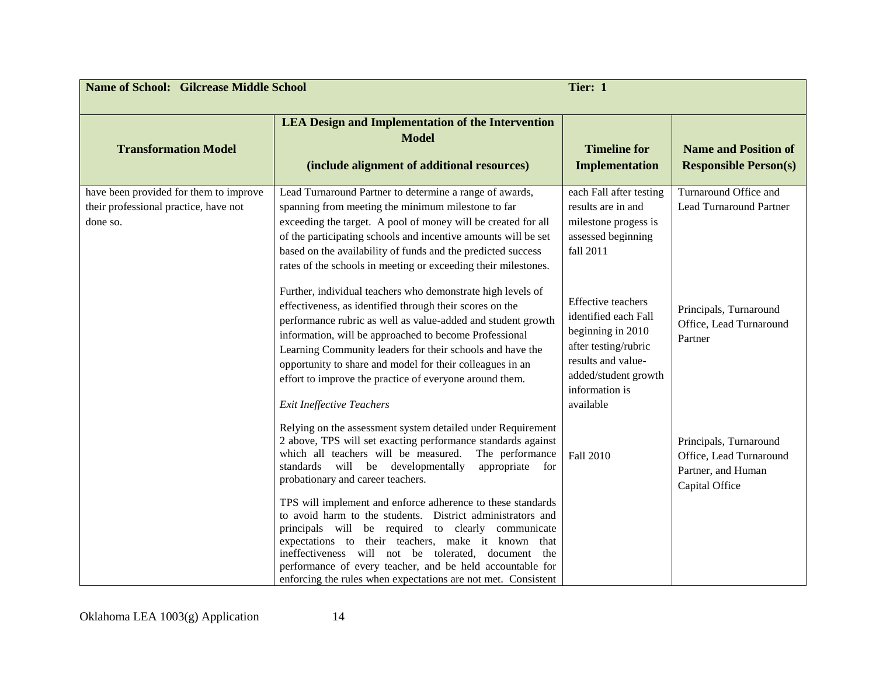| <b>Name of School: Gilcrease Middle School</b>                                              |                                                                                                                                                                                                                                                                                                                                                                                                                                                                            | Tier: 1                                                                                                                                                                     |                                                                                           |
|---------------------------------------------------------------------------------------------|----------------------------------------------------------------------------------------------------------------------------------------------------------------------------------------------------------------------------------------------------------------------------------------------------------------------------------------------------------------------------------------------------------------------------------------------------------------------------|-----------------------------------------------------------------------------------------------------------------------------------------------------------------------------|-------------------------------------------------------------------------------------------|
| <b>Transformation Model</b>                                                                 | <b>LEA Design and Implementation of the Intervention</b><br><b>Model</b><br>(include alignment of additional resources)                                                                                                                                                                                                                                                                                                                                                    | <b>Timeline for</b><br><b>Implementation</b>                                                                                                                                | <b>Name and Position of</b><br><b>Responsible Person(s)</b>                               |
| have been provided for them to improve<br>their professional practice, have not<br>done so. | Lead Turnaround Partner to determine a range of awards,<br>spanning from meeting the minimum milestone to far<br>exceeding the target. A pool of money will be created for all<br>of the participating schools and incentive amounts will be set<br>based on the availability of funds and the predicted success<br>rates of the schools in meeting or exceeding their milestones.                                                                                         | each Fall after testing<br>results are in and<br>milestone progess is<br>assessed beginning<br>fall 2011                                                                    | Turnaround Office and<br><b>Lead Turnaround Partner</b>                                   |
|                                                                                             | Further, individual teachers who demonstrate high levels of<br>effectiveness, as identified through their scores on the<br>performance rubric as well as value-added and student growth<br>information, will be approached to become Professional<br>Learning Community leaders for their schools and have the<br>opportunity to share and model for their colleagues in an<br>effort to improve the practice of everyone around them.<br><b>Exit Ineffective Teachers</b> | <b>Effective teachers</b><br>identified each Fall<br>beginning in 2010<br>after testing/rubric<br>results and value-<br>added/student growth<br>information is<br>available | Principals, Turnaround<br>Office, Lead Turnaround<br>Partner                              |
|                                                                                             | Relying on the assessment system detailed under Requirement<br>2 above, TPS will set exacting performance standards against<br>which all teachers will be measured.<br>The performance<br>standards will be developmentally<br>appropriate for<br>probationary and career teachers.                                                                                                                                                                                        | Fall 2010                                                                                                                                                                   | Principals, Turnaround<br>Office, Lead Turnaround<br>Partner, and Human<br>Capital Office |
|                                                                                             | TPS will implement and enforce adherence to these standards<br>to avoid harm to the students. District administrators and<br>principals will be required to clearly communicate<br>expectations to their teachers, make it known that<br>ineffectiveness will not be tolerated, document the<br>performance of every teacher, and be held accountable for<br>enforcing the rules when expectations are not met. Consistent                                                 |                                                                                                                                                                             |                                                                                           |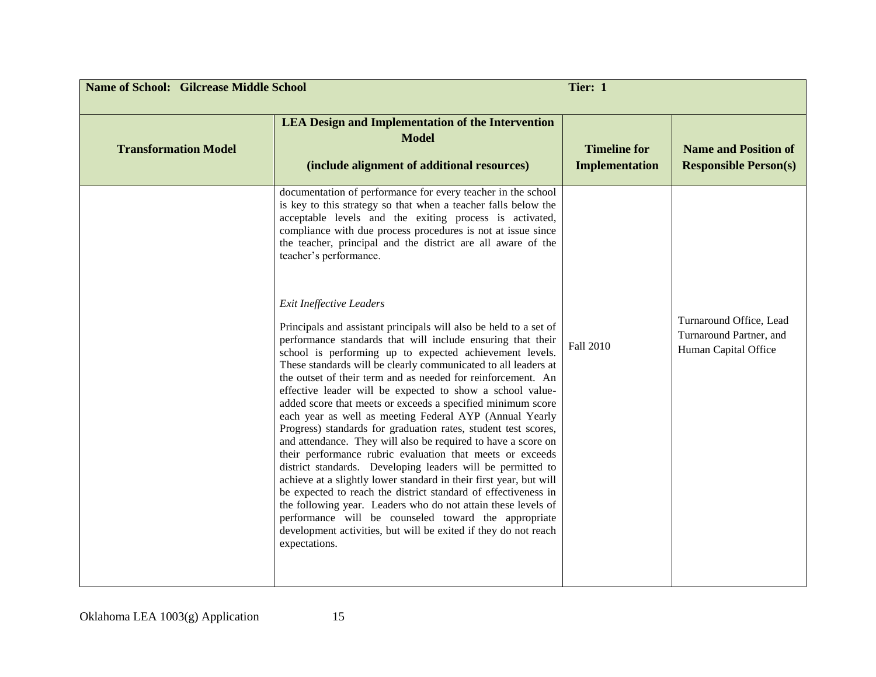| <b>Name of School: Gilcrease Middle School</b><br>Tier: 1 |                                                                                                                                                                                                                                                                                                                                                                                                                                                                                                                                                                                                                                                                                                                                                                                                                                                                                                                                                                                                                                                                                                                                                                             |                                              |                                                                            |
|-----------------------------------------------------------|-----------------------------------------------------------------------------------------------------------------------------------------------------------------------------------------------------------------------------------------------------------------------------------------------------------------------------------------------------------------------------------------------------------------------------------------------------------------------------------------------------------------------------------------------------------------------------------------------------------------------------------------------------------------------------------------------------------------------------------------------------------------------------------------------------------------------------------------------------------------------------------------------------------------------------------------------------------------------------------------------------------------------------------------------------------------------------------------------------------------------------------------------------------------------------|----------------------------------------------|----------------------------------------------------------------------------|
| <b>Transformation Model</b>                               | <b>LEA Design and Implementation of the Intervention</b><br><b>Model</b><br>(include alignment of additional resources)                                                                                                                                                                                                                                                                                                                                                                                                                                                                                                                                                                                                                                                                                                                                                                                                                                                                                                                                                                                                                                                     | <b>Timeline for</b><br><b>Implementation</b> | <b>Name and Position of</b><br><b>Responsible Person(s)</b>                |
|                                                           | documentation of performance for every teacher in the school<br>is key to this strategy so that when a teacher falls below the<br>acceptable levels and the exiting process is activated,<br>compliance with due process procedures is not at issue since<br>the teacher, principal and the district are all aware of the<br>teacher's performance.                                                                                                                                                                                                                                                                                                                                                                                                                                                                                                                                                                                                                                                                                                                                                                                                                         |                                              |                                                                            |
|                                                           | <b>Exit Ineffective Leaders</b><br>Principals and assistant principals will also be held to a set of<br>performance standards that will include ensuring that their<br>school is performing up to expected achievement levels.<br>These standards will be clearly communicated to all leaders at<br>the outset of their term and as needed for reinforcement. An<br>effective leader will be expected to show a school value-<br>added score that meets or exceeds a specified minimum score<br>each year as well as meeting Federal AYP (Annual Yearly<br>Progress) standards for graduation rates, student test scores,<br>and attendance. They will also be required to have a score on<br>their performance rubric evaluation that meets or exceeds<br>district standards. Developing leaders will be permitted to<br>achieve at a slightly lower standard in their first year, but will<br>be expected to reach the district standard of effectiveness in<br>the following year. Leaders who do not attain these levels of<br>performance will be counseled toward the appropriate<br>development activities, but will be exited if they do not reach<br>expectations. | Fall 2010                                    | Turnaround Office, Lead<br>Turnaround Partner, and<br>Human Capital Office |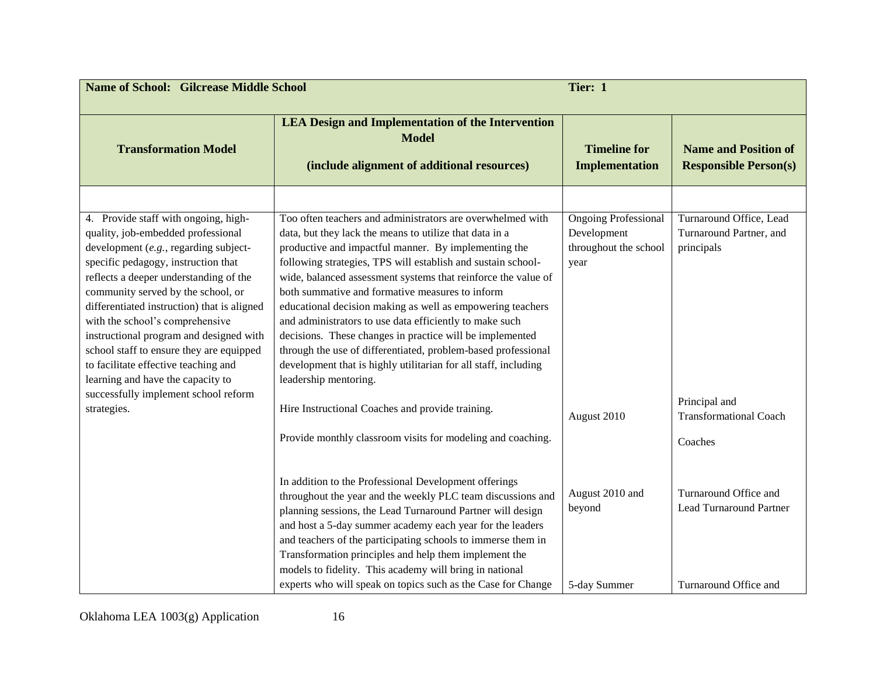| <b>LEA Design and Implementation of the Intervention</b><br><b>Model</b><br>(include alignment of additional resources)                                                                                                                                                                                                                                                                                                                                                                                                                                                                                                                                                                                             | <b>Timeline for</b>                                                         |                                                                                  |
|---------------------------------------------------------------------------------------------------------------------------------------------------------------------------------------------------------------------------------------------------------------------------------------------------------------------------------------------------------------------------------------------------------------------------------------------------------------------------------------------------------------------------------------------------------------------------------------------------------------------------------------------------------------------------------------------------------------------|-----------------------------------------------------------------------------|----------------------------------------------------------------------------------|
|                                                                                                                                                                                                                                                                                                                                                                                                                                                                                                                                                                                                                                                                                                                     | <b>Implementation</b>                                                       | <b>Name and Position of</b><br><b>Responsible Person(s)</b>                      |
|                                                                                                                                                                                                                                                                                                                                                                                                                                                                                                                                                                                                                                                                                                                     |                                                                             |                                                                                  |
| Too often teachers and administrators are overwhelmed with<br>data, but they lack the means to utilize that data in a<br>productive and impactful manner. By implementing the<br>following strategies, TPS will establish and sustain school-<br>wide, balanced assessment systems that reinforce the value of<br>both summative and formative measures to inform<br>educational decision making as well as empowering teachers<br>and administrators to use data efficiently to make such<br>decisions. These changes in practice will be implemented<br>through the use of differentiated, problem-based professional<br>development that is highly utilitarian for all staff, including<br>leadership mentoring. | <b>Ongoing Professional</b><br>Development<br>throughout the school<br>year | Turnaround Office, Lead<br>Turnaround Partner, and<br>principals                 |
| Hire Instructional Coaches and provide training.                                                                                                                                                                                                                                                                                                                                                                                                                                                                                                                                                                                                                                                                    | August 2010                                                                 | Principal and<br><b>Transformational Coach</b>                                   |
| Provide monthly classroom visits for modeling and coaching.                                                                                                                                                                                                                                                                                                                                                                                                                                                                                                                                                                                                                                                         |                                                                             | Coaches                                                                          |
| In addition to the Professional Development offerings<br>throughout the year and the weekly PLC team discussions and<br>planning sessions, the Lead Turnaround Partner will design<br>and host a 5-day summer academy each year for the leaders<br>and teachers of the participating schools to immerse them in<br>Transformation principles and help them implement the<br>models to fidelity. This academy will bring in national                                                                                                                                                                                                                                                                                 | August 2010 and<br>beyond                                                   | Turnaround Office and<br><b>Lead Turnaround Partner</b><br>Turnaround Office and |
|                                                                                                                                                                                                                                                                                                                                                                                                                                                                                                                                                                                                                                                                                                                     | experts who will speak on topics such as the Case for Change                | 5-day Summer                                                                     |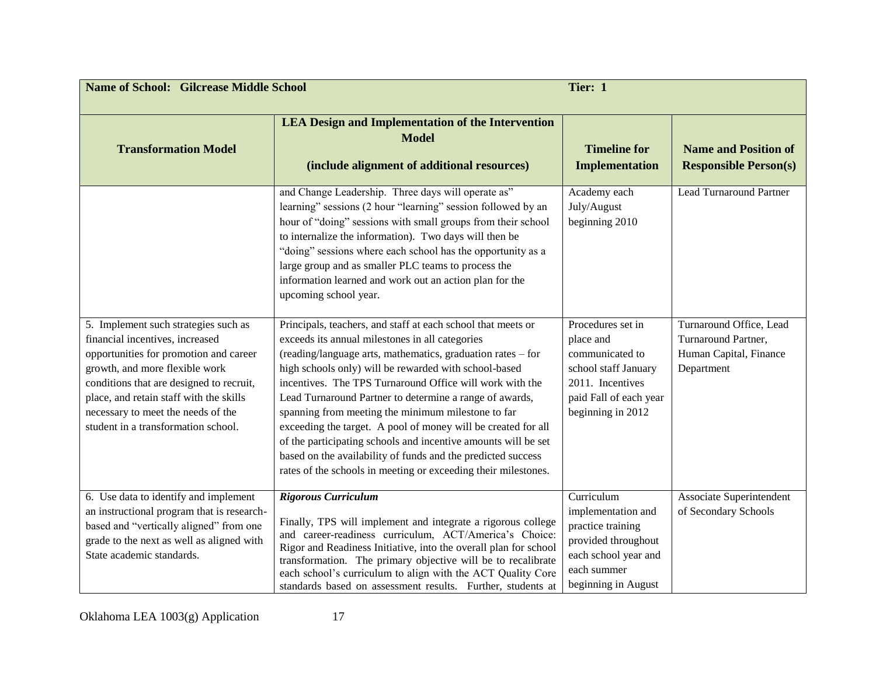| <b>Name of School: Gilcrease Middle School</b><br>Tier: 1                                                                                                                                                                                                                                                               |                                                                                                                                                                                                                                                                                                                                                                                                                                                                                                                                                                                                                                                                                           |                                                                                                                                              |                                                                                        |
|-------------------------------------------------------------------------------------------------------------------------------------------------------------------------------------------------------------------------------------------------------------------------------------------------------------------------|-------------------------------------------------------------------------------------------------------------------------------------------------------------------------------------------------------------------------------------------------------------------------------------------------------------------------------------------------------------------------------------------------------------------------------------------------------------------------------------------------------------------------------------------------------------------------------------------------------------------------------------------------------------------------------------------|----------------------------------------------------------------------------------------------------------------------------------------------|----------------------------------------------------------------------------------------|
| <b>Transformation Model</b>                                                                                                                                                                                                                                                                                             | <b>LEA Design and Implementation of the Intervention</b><br><b>Model</b><br>(include alignment of additional resources)                                                                                                                                                                                                                                                                                                                                                                                                                                                                                                                                                                   | <b>Timeline for</b><br><b>Implementation</b>                                                                                                 | <b>Name and Position of</b><br><b>Responsible Person(s)</b>                            |
|                                                                                                                                                                                                                                                                                                                         | and Change Leadership. Three days will operate as"<br>learning" sessions (2 hour "learning" session followed by an<br>hour of "doing" sessions with small groups from their school<br>to internalize the information). Two days will then be<br>"doing" sessions where each school has the opportunity as a<br>large group and as smaller PLC teams to process the<br>information learned and work out an action plan for the<br>upcoming school year.                                                                                                                                                                                                                                    | Academy each<br>July/August<br>beginning 2010                                                                                                | <b>Lead Turnaround Partner</b>                                                         |
| 5. Implement such strategies such as<br>financial incentives, increased<br>opportunities for promotion and career<br>growth, and more flexible work<br>conditions that are designed to recruit,<br>place, and retain staff with the skills<br>necessary to meet the needs of the<br>student in a transformation school. | Principals, teachers, and staff at each school that meets or<br>exceeds its annual milestones in all categories<br>(reading/language arts, mathematics, graduation rates - for<br>high schools only) will be rewarded with school-based<br>incentives. The TPS Turnaround Office will work with the<br>Lead Turnaround Partner to determine a range of awards,<br>spanning from meeting the minimum milestone to far<br>exceeding the target. A pool of money will be created for all<br>of the participating schools and incentive amounts will be set<br>based on the availability of funds and the predicted success<br>rates of the schools in meeting or exceeding their milestones. | Procedures set in<br>place and<br>communicated to<br>school staff January<br>2011. Incentives<br>paid Fall of each year<br>beginning in 2012 | Turnaround Office, Lead<br>Turnaround Partner,<br>Human Capital, Finance<br>Department |
| 6. Use data to identify and implement<br>an instructional program that is research-<br>based and "vertically aligned" from one<br>grade to the next as well as aligned with<br>State academic standards.                                                                                                                | <b>Rigorous Curriculum</b><br>Finally, TPS will implement and integrate a rigorous college<br>and career-readiness curriculum, ACT/America's Choice:<br>Rigor and Readiness Initiative, into the overall plan for school<br>transformation. The primary objective will be to recalibrate<br>each school's curriculum to align with the ACT Quality Core<br>standards based on assessment results. Further, students at                                                                                                                                                                                                                                                                    | Curriculum<br>implementation and<br>practice training<br>provided throughout<br>each school year and<br>each summer<br>beginning in August   | Associate Superintendent<br>of Secondary Schools                                       |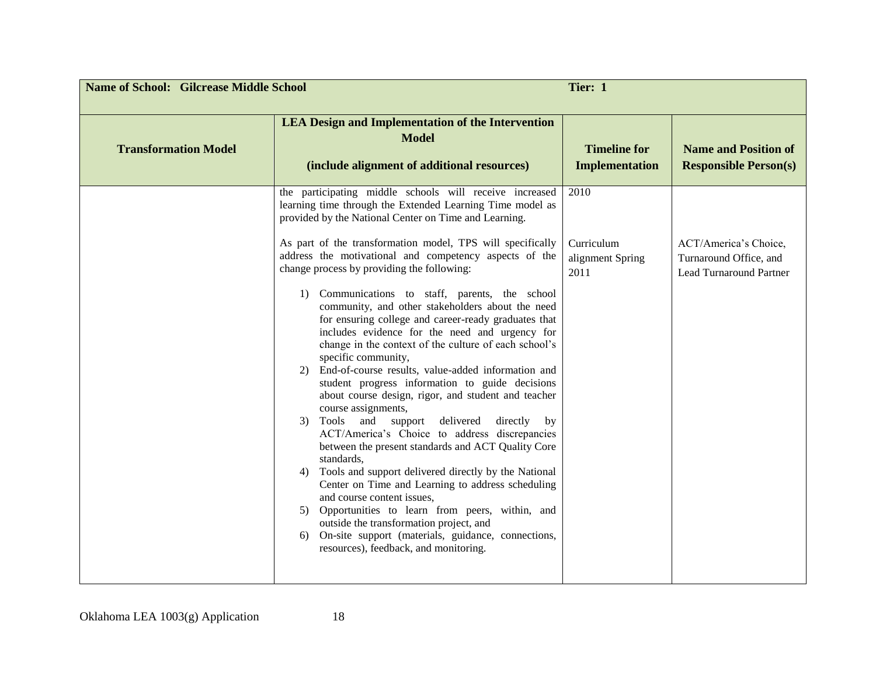| <b>Name of School: Gilcrease Middle School</b><br>Tier: 1 |                                                                                                                                                                                                                                                                                                  |                                              |                                                                                   |
|-----------------------------------------------------------|--------------------------------------------------------------------------------------------------------------------------------------------------------------------------------------------------------------------------------------------------------------------------------------------------|----------------------------------------------|-----------------------------------------------------------------------------------|
| <b>Transformation Model</b>                               | <b>LEA Design and Implementation of the Intervention</b><br><b>Model</b><br>(include alignment of additional resources)                                                                                                                                                                          | <b>Timeline for</b><br><b>Implementation</b> | <b>Name and Position of</b><br><b>Responsible Person(s)</b>                       |
|                                                           | the participating middle schools will receive increased<br>learning time through the Extended Learning Time model as<br>provided by the National Center on Time and Learning.                                                                                                                    | 2010                                         |                                                                                   |
|                                                           | As part of the transformation model, TPS will specifically<br>address the motivational and competency aspects of the<br>change process by providing the following:                                                                                                                               | Curriculum<br>alignment Spring<br>2011       | ACT/America's Choice,<br>Turnaround Office, and<br><b>Lead Turnaround Partner</b> |
|                                                           | Communications to staff, parents, the school<br>1)<br>community, and other stakeholders about the need<br>for ensuring college and career-ready graduates that<br>includes evidence for the need and urgency for<br>change in the context of the culture of each school's<br>specific community, |                                              |                                                                                   |
|                                                           | End-of-course results, value-added information and<br>2)<br>student progress information to guide decisions<br>about course design, rigor, and student and teacher<br>course assignments,                                                                                                        |                                              |                                                                                   |
|                                                           | Tools<br>and<br>support<br>delivered<br>directly<br>3)<br>by<br>ACT/America's Choice to address discrepancies<br>between the present standards and ACT Quality Core<br>standards,                                                                                                                |                                              |                                                                                   |
|                                                           | Tools and support delivered directly by the National<br>4)<br>Center on Time and Learning to address scheduling<br>and course content issues,                                                                                                                                                    |                                              |                                                                                   |
|                                                           | Opportunities to learn from peers, within, and<br>5)<br>outside the transformation project, and<br>On-site support (materials, guidance, connections,<br>6)<br>resources), feedback, and monitoring.                                                                                             |                                              |                                                                                   |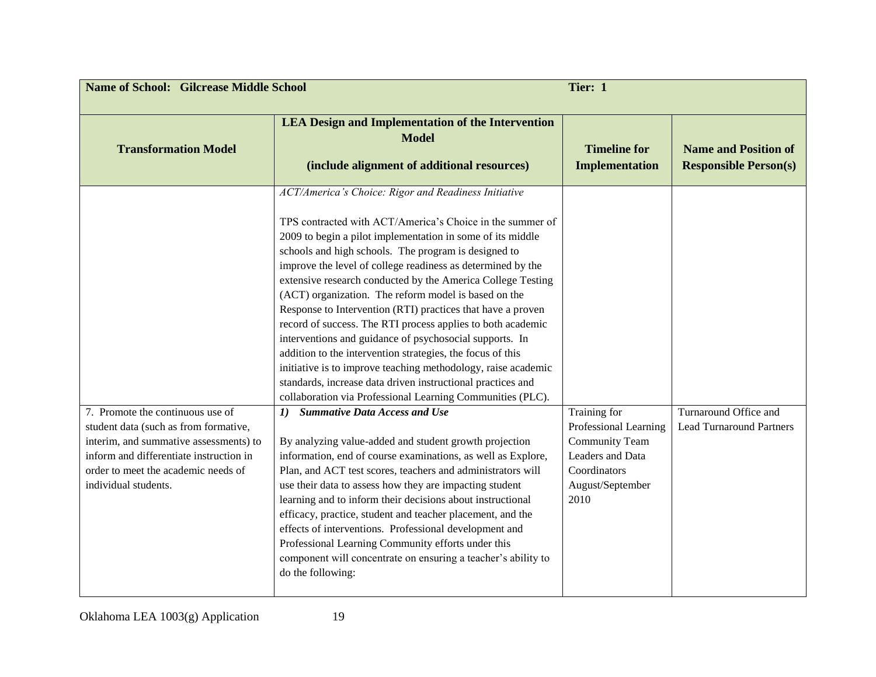| <b>Name of School: Gilcrease Middle School</b>                                                                                                                                                                                |                                                                                                                                                                                                                                                                                                                                                                                                                                                                                                                                                                                                                                                                                                                                                                                                                                                                                                                                                                                                                                                                                                                                                                                                                                                                                                                                                                                                                                                                                                                        | Tier: 1                                                                                                                        |                                                             |
|-------------------------------------------------------------------------------------------------------------------------------------------------------------------------------------------------------------------------------|------------------------------------------------------------------------------------------------------------------------------------------------------------------------------------------------------------------------------------------------------------------------------------------------------------------------------------------------------------------------------------------------------------------------------------------------------------------------------------------------------------------------------------------------------------------------------------------------------------------------------------------------------------------------------------------------------------------------------------------------------------------------------------------------------------------------------------------------------------------------------------------------------------------------------------------------------------------------------------------------------------------------------------------------------------------------------------------------------------------------------------------------------------------------------------------------------------------------------------------------------------------------------------------------------------------------------------------------------------------------------------------------------------------------------------------------------------------------------------------------------------------------|--------------------------------------------------------------------------------------------------------------------------------|-------------------------------------------------------------|
| <b>Transformation Model</b>                                                                                                                                                                                                   | <b>LEA Design and Implementation of the Intervention</b><br><b>Model</b><br>(include alignment of additional resources)                                                                                                                                                                                                                                                                                                                                                                                                                                                                                                                                                                                                                                                                                                                                                                                                                                                                                                                                                                                                                                                                                                                                                                                                                                                                                                                                                                                                | <b>Timeline for</b><br><b>Implementation</b>                                                                                   | <b>Name and Position of</b><br><b>Responsible Person(s)</b> |
| 7. Promote the continuous use of<br>student data (such as from formative,<br>interim, and summative assessments) to<br>inform and differentiate instruction in<br>order to meet the academic needs of<br>individual students. | ACT/America's Choice: Rigor and Readiness Initiative<br>TPS contracted with ACT/America's Choice in the summer of<br>2009 to begin a pilot implementation in some of its middle<br>schools and high schools. The program is designed to<br>improve the level of college readiness as determined by the<br>extensive research conducted by the America College Testing<br>(ACT) organization. The reform model is based on the<br>Response to Intervention (RTI) practices that have a proven<br>record of success. The RTI process applies to both academic<br>interventions and guidance of psychosocial supports. In<br>addition to the intervention strategies, the focus of this<br>initiative is to improve teaching methodology, raise academic<br>standards, increase data driven instructional practices and<br>collaboration via Professional Learning Communities (PLC).<br><b>Summative Data Access and Use</b><br>1)<br>By analyzing value-added and student growth projection<br>information, end of course examinations, as well as Explore,<br>Plan, and ACT test scores, teachers and administrators will<br>use their data to assess how they are impacting student<br>learning and to inform their decisions about instructional<br>efficacy, practice, student and teacher placement, and the<br>effects of interventions. Professional development and<br>Professional Learning Community efforts under this<br>component will concentrate on ensuring a teacher's ability to<br>do the following: | Training for<br>Professional Learning<br><b>Community Team</b><br>Leaders and Data<br>Coordinators<br>August/September<br>2010 | Turnaround Office and<br><b>Lead Turnaround Partners</b>    |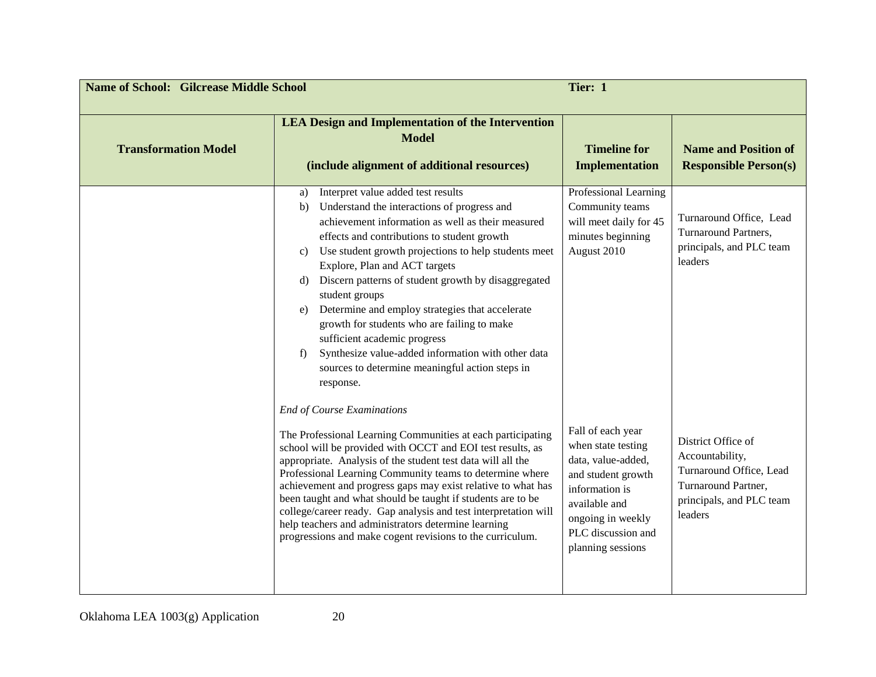| <b>Name of School: Gilcrease Middle School</b> | Tier: 1                                                                                                                                                                                                                                                                                                                                                                                                                                                                                                                                                                                                                                             |                                                                                                                                                                                        |                                                                                                                                |
|------------------------------------------------|-----------------------------------------------------------------------------------------------------------------------------------------------------------------------------------------------------------------------------------------------------------------------------------------------------------------------------------------------------------------------------------------------------------------------------------------------------------------------------------------------------------------------------------------------------------------------------------------------------------------------------------------------------|----------------------------------------------------------------------------------------------------------------------------------------------------------------------------------------|--------------------------------------------------------------------------------------------------------------------------------|
| <b>Transformation Model</b>                    | <b>LEA Design and Implementation of the Intervention</b><br><b>Model</b><br>(include alignment of additional resources)                                                                                                                                                                                                                                                                                                                                                                                                                                                                                                                             | <b>Timeline for</b><br><b>Implementation</b>                                                                                                                                           | <b>Name and Position of</b><br><b>Responsible Person(s)</b>                                                                    |
|                                                | Interpret value added test results<br>a)<br>Understand the interactions of progress and<br>b)<br>achievement information as well as their measured<br>effects and contributions to student growth<br>Use student growth projections to help students meet<br>C)<br>Explore, Plan and ACT targets<br>Discern patterns of student growth by disaggregated<br>d)<br>student groups<br>Determine and employ strategies that accelerate<br>e)<br>growth for students who are failing to make<br>sufficient academic progress<br>Synthesize value-added information with other data<br>f)<br>sources to determine meaningful action steps in<br>response. | Professional Learning<br>Community teams<br>will meet daily for 45<br>minutes beginning<br>August 2010                                                                                 | Turnaround Office, Lead<br>Turnaround Partners,<br>principals, and PLC team<br>leaders                                         |
|                                                | <b>End of Course Examinations</b><br>The Professional Learning Communities at each participating<br>school will be provided with OCCT and EOI test results, as<br>appropriate. Analysis of the student test data will all the<br>Professional Learning Community teams to determine where<br>achievement and progress gaps may exist relative to what has<br>been taught and what should be taught if students are to be<br>college/career ready. Gap analysis and test interpretation will<br>help teachers and administrators determine learning<br>progressions and make cogent revisions to the curriculum.                                     | Fall of each year<br>when state testing<br>data, value-added,<br>and student growth<br>information is<br>available and<br>ongoing in weekly<br>PLC discussion and<br>planning sessions | District Office of<br>Accountability,<br>Turnaround Office, Lead<br>Turnaround Partner,<br>principals, and PLC team<br>leaders |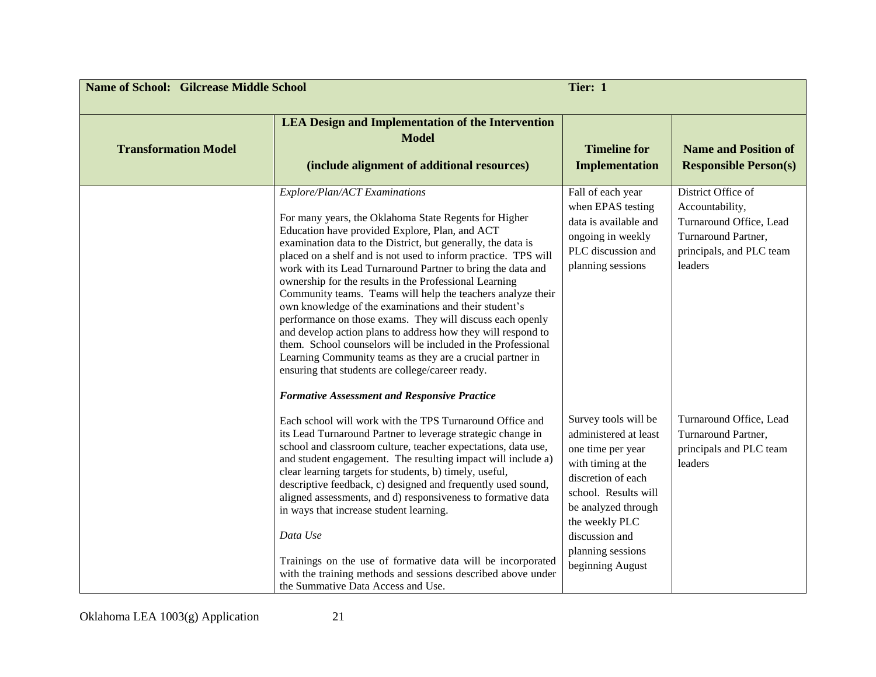| <b>Name of School: Gilcrease Middle School</b> |                                                                                                                                                                                                                                                                                                                                                                                                                                                                                                                                                                                                                                                                                                                                                                                                                                                                                                  | Tier: 1                                                                                                                                                                                                                                    |                                                                                                                                |
|------------------------------------------------|--------------------------------------------------------------------------------------------------------------------------------------------------------------------------------------------------------------------------------------------------------------------------------------------------------------------------------------------------------------------------------------------------------------------------------------------------------------------------------------------------------------------------------------------------------------------------------------------------------------------------------------------------------------------------------------------------------------------------------------------------------------------------------------------------------------------------------------------------------------------------------------------------|--------------------------------------------------------------------------------------------------------------------------------------------------------------------------------------------------------------------------------------------|--------------------------------------------------------------------------------------------------------------------------------|
| <b>Transformation Model</b>                    | <b>LEA Design and Implementation of the Intervention</b><br><b>Model</b><br>(include alignment of additional resources)                                                                                                                                                                                                                                                                                                                                                                                                                                                                                                                                                                                                                                                                                                                                                                          | <b>Timeline for</b><br><b>Implementation</b>                                                                                                                                                                                               | <b>Name and Position of</b><br><b>Responsible Person(s)</b>                                                                    |
|                                                | Explore/Plan/ACT Examinations<br>For many years, the Oklahoma State Regents for Higher<br>Education have provided Explore, Plan, and ACT<br>examination data to the District, but generally, the data is<br>placed on a shelf and is not used to inform practice. TPS will<br>work with its Lead Turnaround Partner to bring the data and<br>ownership for the results in the Professional Learning<br>Community teams. Teams will help the teachers analyze their<br>own knowledge of the examinations and their student's<br>performance on those exams. They will discuss each openly<br>and develop action plans to address how they will respond to<br>them. School counselors will be included in the Professional<br>Learning Community teams as they are a crucial partner in<br>ensuring that students are college/career ready.<br><b>Formative Assessment and Responsive Practice</b> | Fall of each year<br>when EPAS testing<br>data is available and<br>ongoing in weekly<br>PLC discussion and<br>planning sessions                                                                                                            | District Office of<br>Accountability,<br>Turnaround Office, Lead<br>Turnaround Partner,<br>principals, and PLC team<br>leaders |
|                                                | Each school will work with the TPS Turnaround Office and<br>its Lead Turnaround Partner to leverage strategic change in<br>school and classroom culture, teacher expectations, data use,<br>and student engagement. The resulting impact will include a)<br>clear learning targets for students, b) timely, useful,<br>descriptive feedback, c) designed and frequently used sound,<br>aligned assessments, and d) responsiveness to formative data<br>in ways that increase student learning.<br>Data Use<br>Trainings on the use of formative data will be incorporated<br>with the training methods and sessions described above under<br>the Summative Data Access and Use.                                                                                                                                                                                                                  | Survey tools will be<br>administered at least<br>one time per year<br>with timing at the<br>discretion of each<br>school. Results will<br>be analyzed through<br>the weekly PLC<br>discussion and<br>planning sessions<br>beginning August | Turnaround Office, Lead<br>Turnaround Partner,<br>principals and PLC team<br>leaders                                           |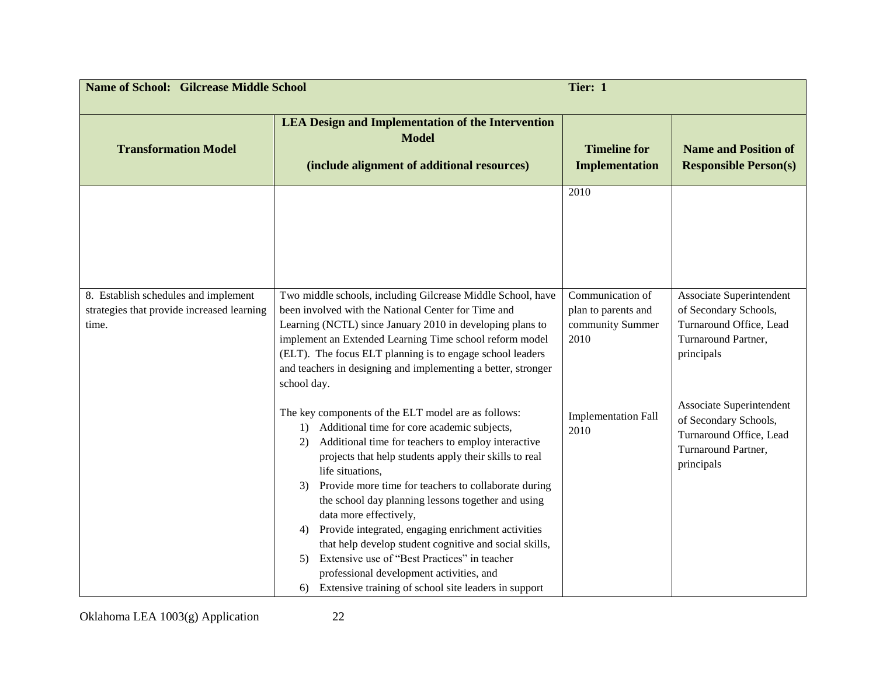| <b>Name of School: Gilcrease Middle School</b>                                              |                                                                                                                                                                                                                                                                                                                                                                                                                                                                                                                                                                                                                                                                                        | Tier: 1                                                             |                                                                                                                   |
|---------------------------------------------------------------------------------------------|----------------------------------------------------------------------------------------------------------------------------------------------------------------------------------------------------------------------------------------------------------------------------------------------------------------------------------------------------------------------------------------------------------------------------------------------------------------------------------------------------------------------------------------------------------------------------------------------------------------------------------------------------------------------------------------|---------------------------------------------------------------------|-------------------------------------------------------------------------------------------------------------------|
| <b>Transformation Model</b>                                                                 | <b>LEA Design and Implementation of the Intervention</b><br><b>Model</b><br>(include alignment of additional resources)                                                                                                                                                                                                                                                                                                                                                                                                                                                                                                                                                                | <b>Timeline for</b><br><b>Implementation</b>                        | <b>Name and Position of</b><br><b>Responsible Person(s)</b>                                                       |
|                                                                                             |                                                                                                                                                                                                                                                                                                                                                                                                                                                                                                                                                                                                                                                                                        | 2010                                                                |                                                                                                                   |
| 8. Establish schedules and implement<br>strategies that provide increased learning<br>time. | Two middle schools, including Gilcrease Middle School, have<br>been involved with the National Center for Time and<br>Learning (NCTL) since January 2010 in developing plans to<br>implement an Extended Learning Time school reform model<br>(ELT). The focus ELT planning is to engage school leaders<br>and teachers in designing and implementing a better, stronger<br>school day.                                                                                                                                                                                                                                                                                                | Communication of<br>plan to parents and<br>community Summer<br>2010 | Associate Superintendent<br>of Secondary Schools,<br>Turnaround Office, Lead<br>Turnaround Partner,<br>principals |
|                                                                                             | The key components of the ELT model are as follows:<br>Additional time for core academic subjects,<br>1)<br>Additional time for teachers to employ interactive<br>2)<br>projects that help students apply their skills to real<br>life situations,<br>Provide more time for teachers to collaborate during<br>3)<br>the school day planning lessons together and using<br>data more effectively,<br>Provide integrated, engaging enrichment activities<br>4)<br>that help develop student cognitive and social skills,<br>Extensive use of "Best Practices" in teacher<br>5)<br>professional development activities, and<br>Extensive training of school site leaders in support<br>6) | <b>Implementation Fall</b><br>2010                                  | Associate Superintendent<br>of Secondary Schools,<br>Turnaround Office, Lead<br>Turnaround Partner,<br>principals |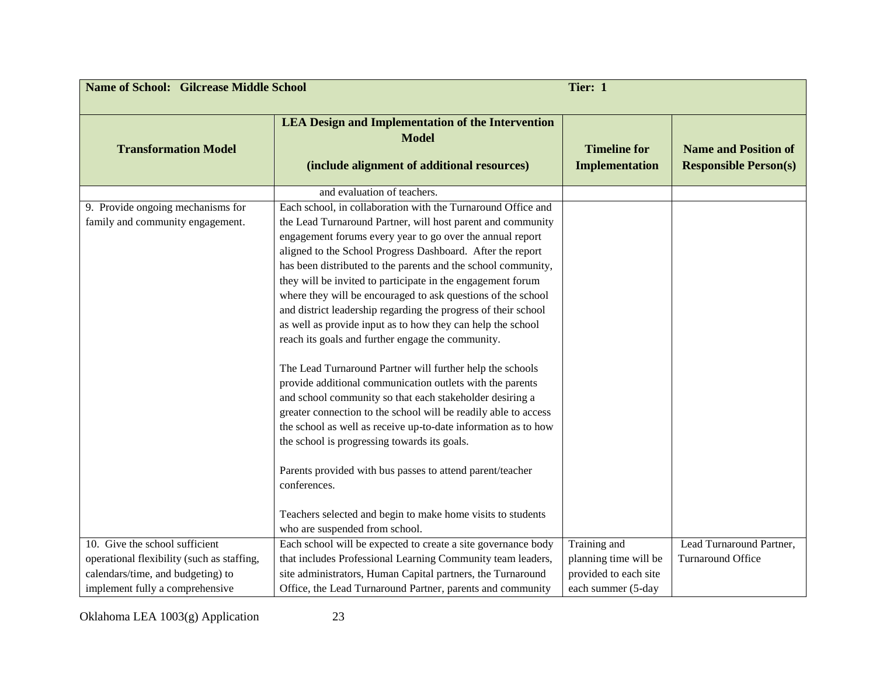| <b>Name of School: Gilcrease Middle School</b>                                                                     |                                                                                                                                                                                                                                                                                                                                                                                                                                                                                                                                                                                                                                                                                                                                                                                                                                                                                                                                                                                                                         | Tier: 1                                                              |                                                             |
|--------------------------------------------------------------------------------------------------------------------|-------------------------------------------------------------------------------------------------------------------------------------------------------------------------------------------------------------------------------------------------------------------------------------------------------------------------------------------------------------------------------------------------------------------------------------------------------------------------------------------------------------------------------------------------------------------------------------------------------------------------------------------------------------------------------------------------------------------------------------------------------------------------------------------------------------------------------------------------------------------------------------------------------------------------------------------------------------------------------------------------------------------------|----------------------------------------------------------------------|-------------------------------------------------------------|
| <b>Transformation Model</b>                                                                                        | <b>LEA Design and Implementation of the Intervention</b><br><b>Model</b><br>(include alignment of additional resources)                                                                                                                                                                                                                                                                                                                                                                                                                                                                                                                                                                                                                                                                                                                                                                                                                                                                                                 | <b>Timeline for</b><br><b>Implementation</b>                         | <b>Name and Position of</b><br><b>Responsible Person(s)</b> |
|                                                                                                                    | and evaluation of teachers.                                                                                                                                                                                                                                                                                                                                                                                                                                                                                                                                                                                                                                                                                                                                                                                                                                                                                                                                                                                             |                                                                      |                                                             |
| 9. Provide ongoing mechanisms for<br>family and community engagement.                                              | Each school, in collaboration with the Turnaround Office and<br>the Lead Turnaround Partner, will host parent and community<br>engagement forums every year to go over the annual report<br>aligned to the School Progress Dashboard. After the report<br>has been distributed to the parents and the school community,<br>they will be invited to participate in the engagement forum<br>where they will be encouraged to ask questions of the school<br>and district leadership regarding the progress of their school<br>as well as provide input as to how they can help the school<br>reach its goals and further engage the community.<br>The Lead Turnaround Partner will further help the schools<br>provide additional communication outlets with the parents<br>and school community so that each stakeholder desiring a<br>greater connection to the school will be readily able to access<br>the school as well as receive up-to-date information as to how<br>the school is progressing towards its goals. |                                                                      |                                                             |
|                                                                                                                    | Parents provided with bus passes to attend parent/teacher<br>conferences.<br>Teachers selected and begin to make home visits to students<br>who are suspended from school.                                                                                                                                                                                                                                                                                                                                                                                                                                                                                                                                                                                                                                                                                                                                                                                                                                              |                                                                      |                                                             |
| 10. Give the school sufficient                                                                                     | Each school will be expected to create a site governance body                                                                                                                                                                                                                                                                                                                                                                                                                                                                                                                                                                                                                                                                                                                                                                                                                                                                                                                                                           | Training and                                                         | Lead Turnaround Partner,                                    |
| operational flexibility (such as staffing,<br>calendars/time, and budgeting) to<br>implement fully a comprehensive | that includes Professional Learning Community team leaders,<br>site administrators, Human Capital partners, the Turnaround<br>Office, the Lead Turnaround Partner, parents and community                                                                                                                                                                                                                                                                                                                                                                                                                                                                                                                                                                                                                                                                                                                                                                                                                                | planning time will be<br>provided to each site<br>each summer (5-day | Turnaround Office                                           |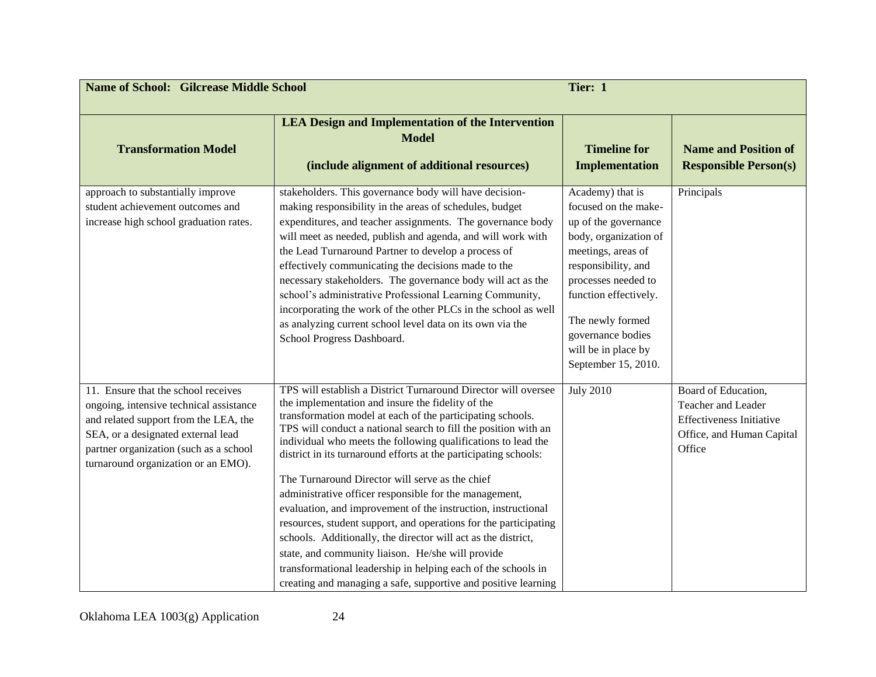| <b>Name of School: Gilcrease Middle School</b>                                                                                                                                                                                                 |                                                                                                                                                                                                                                                                                                                                                                                                                                                                                                                                                                                                                                                                                                                                                                                                                                                                                                      | Tier: 1                                                                                                                                                                                                                                                                       |                                                                                                                     |
|------------------------------------------------------------------------------------------------------------------------------------------------------------------------------------------------------------------------------------------------|------------------------------------------------------------------------------------------------------------------------------------------------------------------------------------------------------------------------------------------------------------------------------------------------------------------------------------------------------------------------------------------------------------------------------------------------------------------------------------------------------------------------------------------------------------------------------------------------------------------------------------------------------------------------------------------------------------------------------------------------------------------------------------------------------------------------------------------------------------------------------------------------------|-------------------------------------------------------------------------------------------------------------------------------------------------------------------------------------------------------------------------------------------------------------------------------|---------------------------------------------------------------------------------------------------------------------|
| <b>Transformation Model</b>                                                                                                                                                                                                                    | <b>LEA Design and Implementation of the Intervention</b><br><b>Model</b><br>(include alignment of additional resources)                                                                                                                                                                                                                                                                                                                                                                                                                                                                                                                                                                                                                                                                                                                                                                              | <b>Timeline for</b><br><b>Implementation</b>                                                                                                                                                                                                                                  | <b>Name and Position of</b><br><b>Responsible Person(s)</b>                                                         |
| approach to substantially improve<br>student achievement outcomes and<br>increase high school graduation rates.                                                                                                                                | stakeholders. This governance body will have decision-<br>making responsibility in the areas of schedules, budget<br>expenditures, and teacher assignments. The governance body<br>will meet as needed, publish and agenda, and will work with<br>the Lead Turnaround Partner to develop a process of<br>effectively communicating the decisions made to the<br>necessary stakeholders. The governance body will act as the<br>school's administrative Professional Learning Community,<br>incorporating the work of the other PLCs in the school as well<br>as analyzing current school level data on its own via the<br>School Progress Dashboard.                                                                                                                                                                                                                                                 | Academy) that is<br>focused on the make-<br>up of the governance<br>body, organization of<br>meetings, areas of<br>responsibility, and<br>processes needed to<br>function effectively.<br>The newly formed<br>governance bodies<br>will be in place by<br>September 15, 2010. | Principals                                                                                                          |
| 11. Ensure that the school receives<br>ongoing, intensive technical assistance<br>and related support from the LEA, the<br>SEA, or a designated external lead<br>partner organization (such as a school<br>turnaround organization or an EMO). | TPS will establish a District Turnaround Director will oversee<br>the implementation and insure the fidelity of the<br>transformation model at each of the participating schools.<br>TPS will conduct a national search to fill the position with an<br>individual who meets the following qualifications to lead the<br>district in its turnaround efforts at the participating schools:<br>The Turnaround Director will serve as the chief<br>administrative officer responsible for the management,<br>evaluation, and improvement of the instruction, instructional<br>resources, student support, and operations for the participating<br>schools. Additionally, the director will act as the district,<br>state, and community liaison. He/she will provide<br>transformational leadership in helping each of the schools in<br>creating and managing a safe, supportive and positive learning | <b>July 2010</b>                                                                                                                                                                                                                                                              | Board of Education,<br>Teacher and Leader<br><b>Effectiveness Initiative</b><br>Office, and Human Capital<br>Office |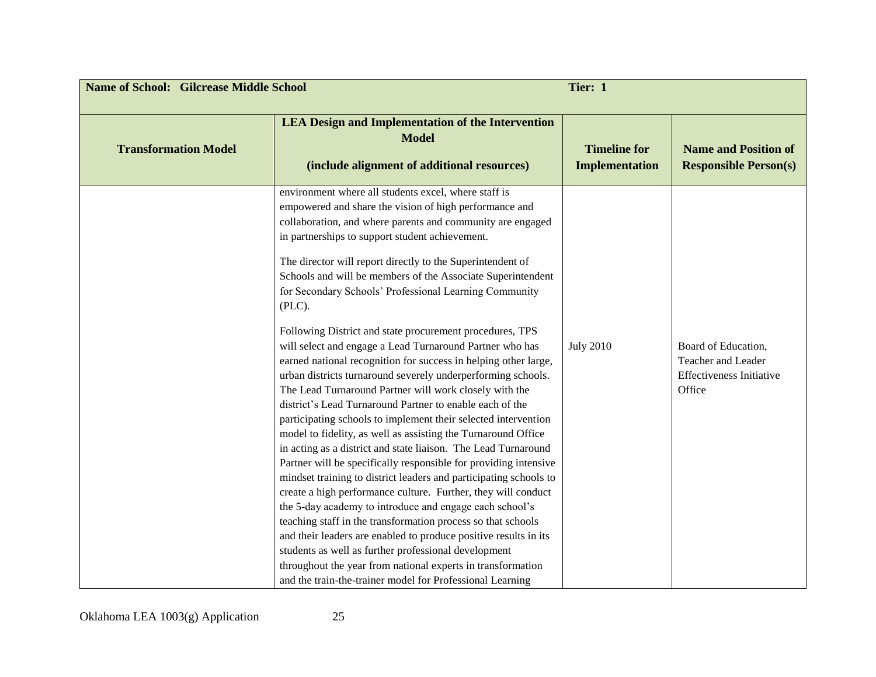| <b>Name of School: Gilcrease Middle School</b><br>Tier: 1 |                                                                                                                                                                                                                                                                                                                                                                                                                                                                                                                                                                                                                                                                                                                                                                                                                                                                                                                                                                                                                                                                                                                    |                                              |                                                                                        |
|-----------------------------------------------------------|--------------------------------------------------------------------------------------------------------------------------------------------------------------------------------------------------------------------------------------------------------------------------------------------------------------------------------------------------------------------------------------------------------------------------------------------------------------------------------------------------------------------------------------------------------------------------------------------------------------------------------------------------------------------------------------------------------------------------------------------------------------------------------------------------------------------------------------------------------------------------------------------------------------------------------------------------------------------------------------------------------------------------------------------------------------------------------------------------------------------|----------------------------------------------|----------------------------------------------------------------------------------------|
| <b>Transformation Model</b>                               | <b>LEA Design and Implementation of the Intervention</b><br><b>Model</b><br>(include alignment of additional resources)                                                                                                                                                                                                                                                                                                                                                                                                                                                                                                                                                                                                                                                                                                                                                                                                                                                                                                                                                                                            | <b>Timeline for</b><br><b>Implementation</b> | <b>Name and Position of</b><br><b>Responsible Person(s)</b>                            |
|                                                           | environment where all students excel, where staff is<br>empowered and share the vision of high performance and<br>collaboration, and where parents and community are engaged<br>in partnerships to support student achievement.<br>The director will report directly to the Superintendent of<br>Schools and will be members of the Associate Superintendent<br>for Secondary Schools' Professional Learning Community<br>(PLC).                                                                                                                                                                                                                                                                                                                                                                                                                                                                                                                                                                                                                                                                                   |                                              |                                                                                        |
|                                                           | Following District and state procurement procedures, TPS<br>will select and engage a Lead Turnaround Partner who has<br>earned national recognition for success in helping other large,<br>urban districts turnaround severely underperforming schools.<br>The Lead Turnaround Partner will work closely with the<br>district's Lead Turnaround Partner to enable each of the<br>participating schools to implement their selected intervention<br>model to fidelity, as well as assisting the Turnaround Office<br>in acting as a district and state liaison. The Lead Turnaround<br>Partner will be specifically responsible for providing intensive<br>mindset training to district leaders and participating schools to<br>create a high performance culture. Further, they will conduct<br>the 5-day academy to introduce and engage each school's<br>teaching staff in the transformation process so that schools<br>and their leaders are enabled to produce positive results in its<br>students as well as further professional development<br>throughout the year from national experts in transformation | <b>July 2010</b>                             | Board of Education,<br>Teacher and Leader<br><b>Effectiveness Initiative</b><br>Office |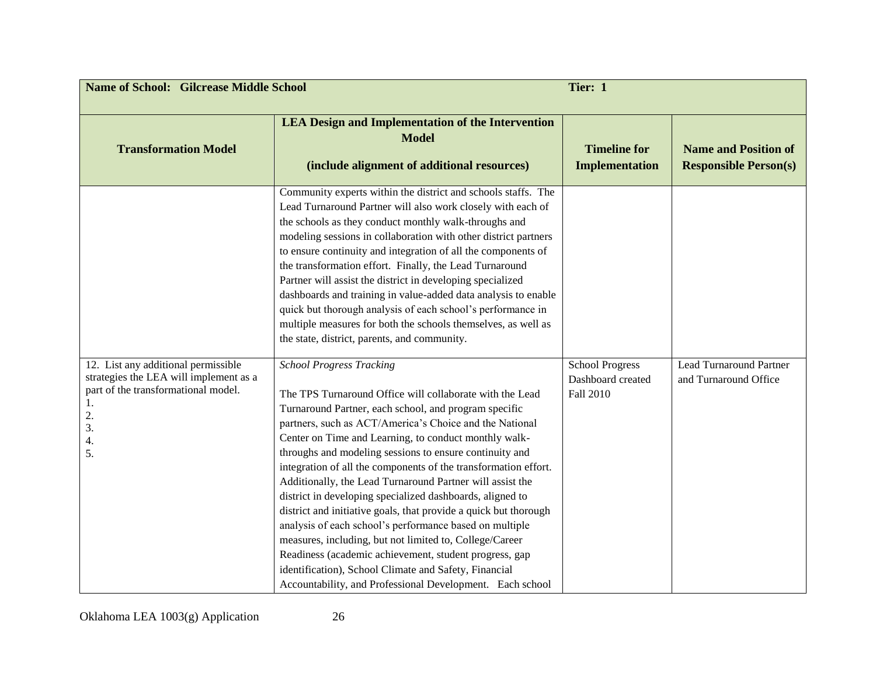| <b>Name of School: Gilcrease Middle School</b><br>Tier: 1                                                                                          |                                                                                                                                                                                                                                                                                                                                                                                                                                                                                                                                                                                                                                                                                                                                                                                                                                                                                                                                                                                                                                                                                                                                                                                                                                                                                                                                                                                                                                                                                                                                                                                                                    |                                                          |                                                             |
|----------------------------------------------------------------------------------------------------------------------------------------------------|--------------------------------------------------------------------------------------------------------------------------------------------------------------------------------------------------------------------------------------------------------------------------------------------------------------------------------------------------------------------------------------------------------------------------------------------------------------------------------------------------------------------------------------------------------------------------------------------------------------------------------------------------------------------------------------------------------------------------------------------------------------------------------------------------------------------------------------------------------------------------------------------------------------------------------------------------------------------------------------------------------------------------------------------------------------------------------------------------------------------------------------------------------------------------------------------------------------------------------------------------------------------------------------------------------------------------------------------------------------------------------------------------------------------------------------------------------------------------------------------------------------------------------------------------------------------------------------------------------------------|----------------------------------------------------------|-------------------------------------------------------------|
| <b>Transformation Model</b>                                                                                                                        | <b>LEA Design and Implementation of the Intervention</b><br><b>Model</b><br>(include alignment of additional resources)                                                                                                                                                                                                                                                                                                                                                                                                                                                                                                                                                                                                                                                                                                                                                                                                                                                                                                                                                                                                                                                                                                                                                                                                                                                                                                                                                                                                                                                                                            | <b>Timeline for</b><br><b>Implementation</b>             | <b>Name and Position of</b><br><b>Responsible Person(s)</b> |
| 12. List any additional permissible<br>strategies the LEA will implement as a<br>part of the transformational model.<br>1.<br>2.<br>3.<br>4.<br>5. | Community experts within the district and schools staffs. The<br>Lead Turnaround Partner will also work closely with each of<br>the schools as they conduct monthly walk-throughs and<br>modeling sessions in collaboration with other district partners<br>to ensure continuity and integration of all the components of<br>the transformation effort. Finally, the Lead Turnaround<br>Partner will assist the district in developing specialized<br>dashboards and training in value-added data analysis to enable<br>quick but thorough analysis of each school's performance in<br>multiple measures for both the schools themselves, as well as<br>the state, district, parents, and community.<br><b>School Progress Tracking</b><br>The TPS Turnaround Office will collaborate with the Lead<br>Turnaround Partner, each school, and program specific<br>partners, such as ACT/America's Choice and the National<br>Center on Time and Learning, to conduct monthly walk-<br>throughs and modeling sessions to ensure continuity and<br>integration of all the components of the transformation effort.<br>Additionally, the Lead Turnaround Partner will assist the<br>district in developing specialized dashboards, aligned to<br>district and initiative goals, that provide a quick but thorough<br>analysis of each school's performance based on multiple<br>measures, including, but not limited to, College/Career<br>Readiness (academic achievement, student progress, gap<br>identification), School Climate and Safety, Financial<br>Accountability, and Professional Development. Each school | <b>School Progress</b><br>Dashboard created<br>Fall 2010 | <b>Lead Turnaround Partner</b><br>and Turnaround Office     |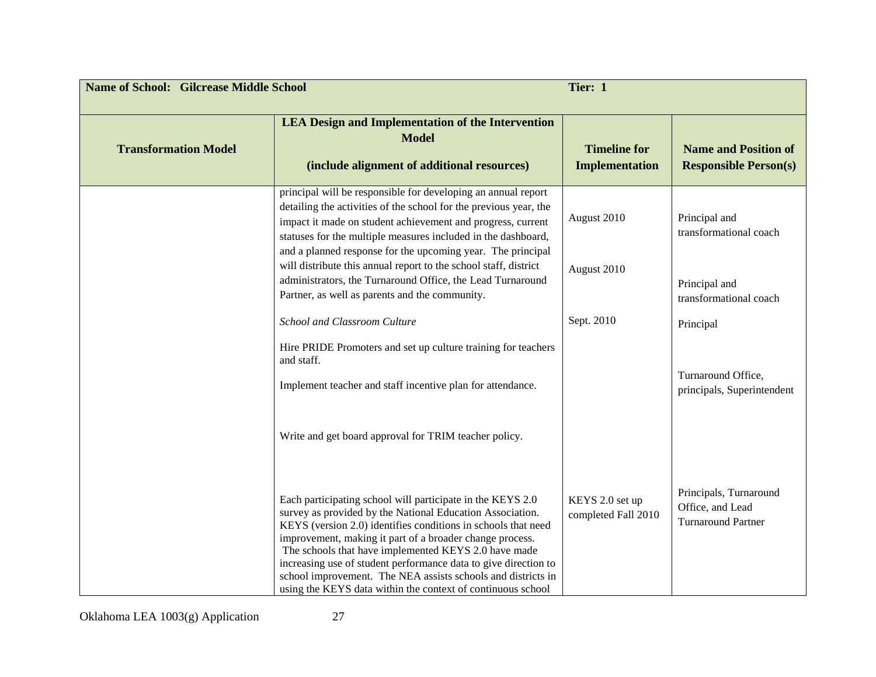| <b>Name of School: Gilcrease Middle School</b><br>Tier: 1 |                                                                                                                                                                                                                                                                                                                                                                                                                                                                                                                |                                              |                                                                         |
|-----------------------------------------------------------|----------------------------------------------------------------------------------------------------------------------------------------------------------------------------------------------------------------------------------------------------------------------------------------------------------------------------------------------------------------------------------------------------------------------------------------------------------------------------------------------------------------|----------------------------------------------|-------------------------------------------------------------------------|
| <b>Transformation Model</b>                               | <b>LEA Design and Implementation of the Intervention</b><br><b>Model</b><br>(include alignment of additional resources)                                                                                                                                                                                                                                                                                                                                                                                        | <b>Timeline for</b><br><b>Implementation</b> | <b>Name and Position of</b><br><b>Responsible Person(s)</b>             |
|                                                           | principal will be responsible for developing an annual report<br>detailing the activities of the school for the previous year, the<br>impact it made on student achievement and progress, current<br>statuses for the multiple measures included in the dashboard,<br>and a planned response for the upcoming year. The principal                                                                                                                                                                              | August 2010                                  | Principal and<br>transformational coach                                 |
|                                                           | will distribute this annual report to the school staff, district<br>administrators, the Turnaround Office, the Lead Turnaround<br>Partner, as well as parents and the community.                                                                                                                                                                                                                                                                                                                               | August 2010                                  | Principal and<br>transformational coach                                 |
|                                                           | School and Classroom Culture                                                                                                                                                                                                                                                                                                                                                                                                                                                                                   | Sept. 2010                                   | Principal                                                               |
|                                                           | Hire PRIDE Promoters and set up culture training for teachers<br>and staff.                                                                                                                                                                                                                                                                                                                                                                                                                                    |                                              |                                                                         |
|                                                           | Implement teacher and staff incentive plan for attendance.                                                                                                                                                                                                                                                                                                                                                                                                                                                     |                                              | Turnaround Office,<br>principals, Superintendent                        |
|                                                           | Write and get board approval for TRIM teacher policy.                                                                                                                                                                                                                                                                                                                                                                                                                                                          |                                              |                                                                         |
|                                                           | Each participating school will participate in the KEYS 2.0<br>survey as provided by the National Education Association.<br>KEYS (version 2.0) identifies conditions in schools that need<br>improvement, making it part of a broader change process.<br>The schools that have implemented KEYS 2.0 have made<br>increasing use of student performance data to give direction to<br>school improvement. The NEA assists schools and districts in<br>using the KEYS data within the context of continuous school | KEYS 2.0 set up<br>completed Fall 2010       | Principals, Turnaround<br>Office, and Lead<br><b>Turnaround Partner</b> |